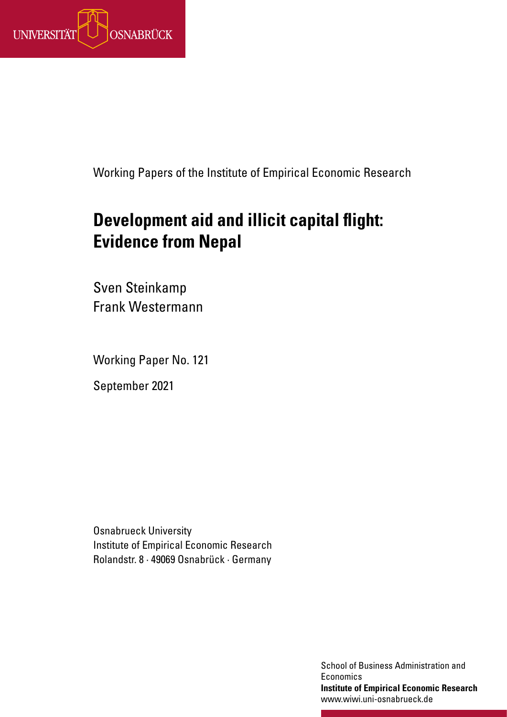

Working Papers of the Institute of Empirical Economic Research

# **Development aid and illicit capital flight: Evidence from Nepal**

Sven Steinkamp Frank Westermann

Working Paper No. 121

September 2021

Osnabrueck University Institute of Empirical Economic Research Rolandstr. 8 · 49069 Osnabrück · Germany

> School of Business Administration and **Economics Institute of Empirical Economic Research** www.wiwi.uni-osnabrueck.de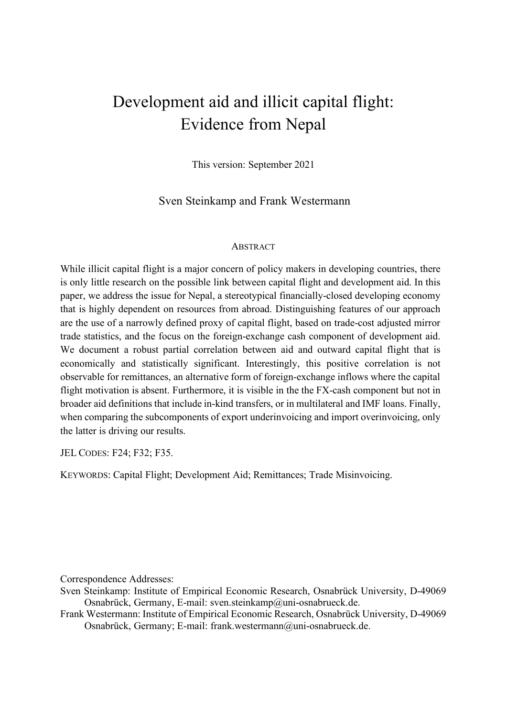## Development aid and illicit capital flight: Evidence from Nepal

This version: September 2021

Sven Steinkamp and Frank Westermann

#### **ABSTRACT**

While illicit capital flight is a major concern of policy makers in developing countries, there is only little research on the possible link between capital flight and development aid. In this paper, we address the issue for Nepal, a stereotypical financially-closed developing economy that is highly dependent on resources from abroad. Distinguishing features of our approach are the use of a narrowly defined proxy of capital flight, based on trade-cost adjusted mirror trade statistics, and the focus on the foreign-exchange cash component of development aid. We document a robust partial correlation between aid and outward capital flight that is economically and statistically significant. Interestingly, this positive correlation is not observable for remittances, an alternative form of foreign-exchange inflows where the capital flight motivation is absent. Furthermore, it is visible in the the FX-cash component but not in broader aid definitions that include in-kind transfers, or in multilateral and IMF loans. Finally, when comparing the subcomponents of export underinvoicing and import overinvoicing, only the latter is driving our results.

JEL CODES: F24; F32; F35.

KEYWORDS: Capital Flight; Development Aid; Remittances; Trade Misinvoicing.

Correspondence Addresses:

Sven Steinkamp: Institute of Empirical Economic Research, Osnabrück University, D-49069 Osnabrück, Germany, E-mail: sven.steinkamp@uni-osnabrueck.de.

Frank Westermann: Institute of Empirical Economic Research, Osnabrück University, D-49069 Osnabrück, Germany; E-mail: frank.westermann@uni-osnabrueck.de.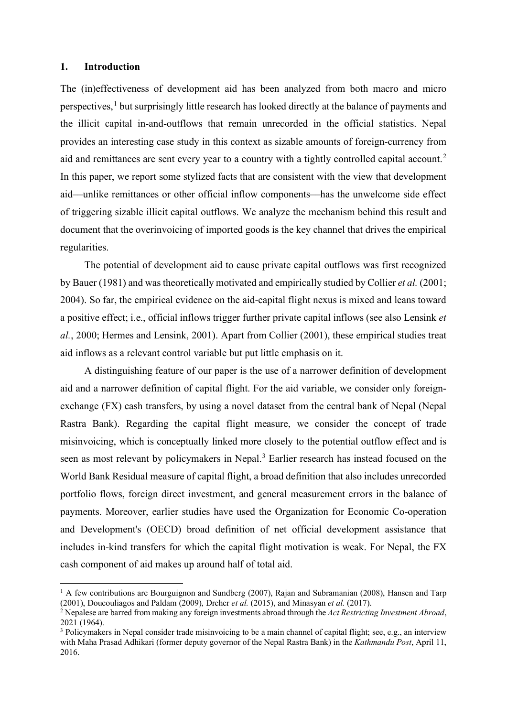#### **1. Introduction**

The (in)effectiveness of development aid has been analyzed from both macro and micro perspectives,<sup>[1](#page-2-0)</sup> but surprisingly little research has looked directly at the balance of payments and the illicit capital in-and-outflows that remain unrecorded in the official statistics. Nepal provides an interesting case study in this context as sizable amounts of foreign-currency from aid and remittances are sent every year to a country with a tightly controlled capital account.<sup>[2](#page-2-1)</sup> In this paper, we report some stylized facts that are consistent with the view that development aid––unlike remittances or other official inflow components––has the unwelcome side effect of triggering sizable illicit capital outflows. We analyze the mechanism behind this result and document that the overinvoicing of imported goods is the key channel that drives the empirical regularities.

The potential of development aid to cause private capital outflows was first recognized by Bauer (1981) and was theoretically motivated and empirically studied by Collier *et al.* (2001; 2004). So far, the empirical evidence on the aid-capital flight nexus is mixed and leans toward a positive effect; i.e., official inflows trigger further private capital inflows (see also Lensink *et al.*, 2000; Hermes and Lensink, 2001). Apart from Collier (2001), these empirical studies treat aid inflows as a relevant control variable but put little emphasis on it.

A distinguishing feature of our paper is the use of a narrower definition of development aid and a narrower definition of capital flight. For the aid variable, we consider only foreignexchange (FX) cash transfers, by using a novel dataset from the central bank of Nepal (Nepal Rastra Bank). Regarding the capital flight measure, we consider the concept of trade misinvoicing, which is conceptually linked more closely to the potential outflow effect and is seen as most relevant by policymakers in Nepal.<sup>[3](#page-2-2)</sup> Earlier research has instead focused on the World Bank Residual measure of capital flight, a broad definition that also includes unrecorded portfolio flows, foreign direct investment, and general measurement errors in the balance of payments. Moreover, earlier studies have used the Organization for Economic Co-operation and Development's (OECD) broad definition of net official development assistance that includes in-kind transfers for which the capital flight motivation is weak. For Nepal, the FX cash component of aid makes up around half of total aid.

<span id="page-2-0"></span> $1$  A few contributions are Bourguignon and Sundberg (2007), Rajan and Subramanian (2008), Hansen and Tarp (2001), Doucouliagos and Paldam (2009), Dreher *et al.* (2015), and Minasyan *et al.* (2017).

<span id="page-2-1"></span><sup>2</sup> Nepalese are barred from making any foreign investments abroad through the *Act Restricting Investment Abroad*, 2021 (1964).

<span id="page-2-2"></span><sup>&</sup>lt;sup>3</sup> Policymakers in Nepal consider trade misinvoicing to be a main channel of capital flight; see, e.g., an interview with Maha Prasad Adhikari (former deputy governor of the Nepal Rastra Bank) in the *Kathmandu Post*, April 11, 2016.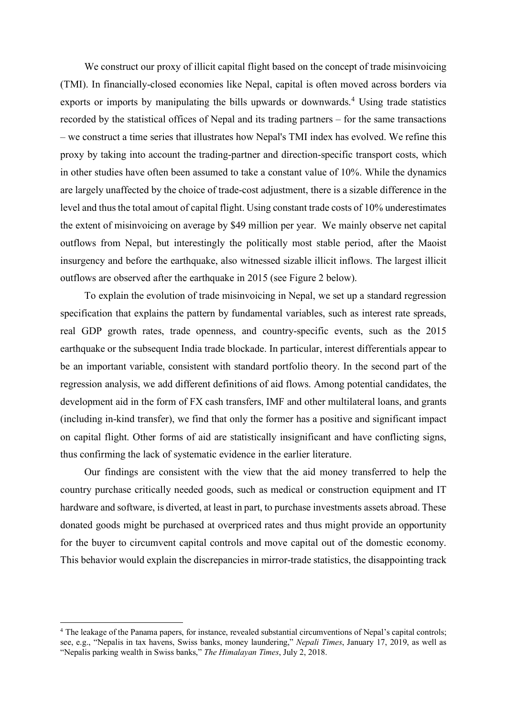We construct our proxy of illicit capital flight based on the concept of trade misinvoicing (TMI). In financially-closed economies like Nepal, capital is often moved across borders via exports or imports by manipulating the bills upwards or downwards. [4](#page-3-0) Using trade statistics recorded by the statistical offices of Nepal and its trading partners – for the same transactions – we construct a time series that illustrates how Nepal's TMI index has evolved. We refine this proxy by taking into account the trading-partner and direction-specific transport costs, which in other studies have often been assumed to take a constant value of 10%. While the dynamics are largely unaffected by the choice of trade-cost adjustment, there is a sizable difference in the level and thus the total amout of capital flight. Using constant trade costs of 10% underestimates the extent of misinvoicing on average by \$49 million per year. We mainly observe net capital outflows from Nepal, but interestingly the politically most stable period, after the Maoist insurgency and before the earthquake, also witnessed sizable illicit inflows. The largest illicit outflows are observed after the earthquake in 2015 (see Figure 2 below).

To explain the evolution of trade misinvoicing in Nepal, we set up a standard regression specification that explains the pattern by fundamental variables, such as interest rate spreads, real GDP growth rates, trade openness, and country-specific events, such as the 2015 earthquake or the subsequent India trade blockade. In particular, interest differentials appear to be an important variable, consistent with standard portfolio theory. In the second part of the regression analysis, we add different definitions of aid flows. Among potential candidates, the development aid in the form of FX cash transfers, IMF and other multilateral loans, and grants (including in-kind transfer), we find that only the former has a positive and significant impact on capital flight. Other forms of aid are statistically insignificant and have conflicting signs, thus confirming the lack of systematic evidence in the earlier literature.

Our findings are consistent with the view that the aid money transferred to help the country purchase critically needed goods, such as medical or construction equipment and IT hardware and software, is diverted, at least in part, to purchase investments assets abroad. These donated goods might be purchased at overpriced rates and thus might provide an opportunity for the buyer to circumvent capital controls and move capital out of the domestic economy. This behavior would explain the discrepancies in mirror-trade statistics, the disappointing track

<span id="page-3-0"></span><sup>&</sup>lt;sup>4</sup> The leakage of the Panama papers, for instance, revealed substantial circumventions of Nepal's capital controls; see, e.g., "Nepalis in tax havens, Swiss banks, money laundering," *Nepali Times*, January 17, 2019, as well as "Nepalis parking wealth in Swiss banks," *The Himalayan Times*, July 2, 2018.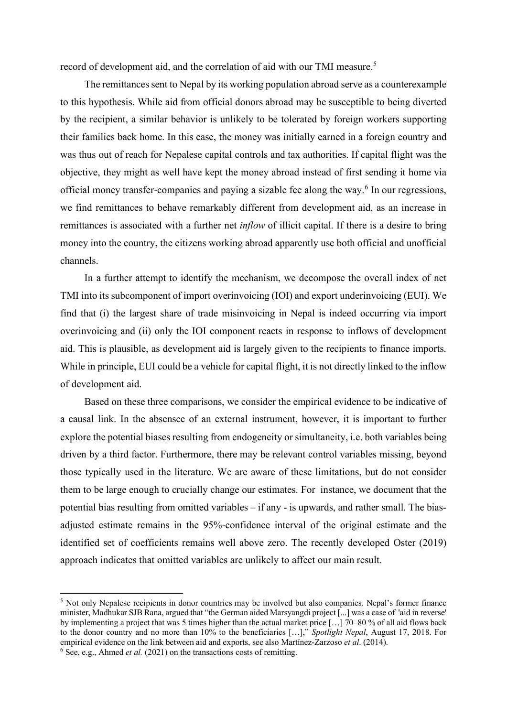record of development aid, and the correlation of aid with our TMI measure.<sup>[5](#page-4-0)</sup>

The remittances sent to Nepal by its working population abroad serve as a counterexample to this hypothesis. While aid from official donors abroad may be susceptible to being diverted by the recipient, a similar behavior is unlikely to be tolerated by foreign workers supporting their families back home. In this case, the money was initially earned in a foreign country and was thus out of reach for Nepalese capital controls and tax authorities. If capital flight was the objective, they might as well have kept the money abroad instead of first sending it home via official money transfer-companies and paying a sizable fee along the way.<sup>[6](#page-4-1)</sup> In our regressions, we find remittances to behave remarkably different from development aid, as an increase in remittances is associated with a further net *inflow* of illicit capital. If there is a desire to bring money into the country, the citizens working abroad apparently use both official and unofficial channels.

In a further attempt to identify the mechanism, we decompose the overall index of net TMI into its subcomponent of import overinvoicing (IOI) and export underinvoicing (EUI). We find that (i) the largest share of trade misinvoicing in Nepal is indeed occurring via import overinvoicing and (ii) only the IOI component reacts in response to inflows of development aid. This is plausible, as development aid is largely given to the recipients to finance imports. While in principle, EUI could be a vehicle for capital flight, it is not directly linked to the inflow of development aid.

Based on these three comparisons, we consider the empirical evidence to be indicative of a causal link. In the absensce of an external instrument, however, it is important to further explore the potential biases resulting from endogeneity or simultaneity, i.e. both variables being driven by a third factor. Furthermore, there may be relevant control variables missing, beyond those typically used in the literature. We are aware of these limitations, but do not consider them to be large enough to crucially change our estimates. For instance, we document that the potential bias resulting from omitted variables – if any - is upwards, and rather small. The biasadjusted estimate remains in the 95%-confidence interval of the original estimate and the identified set of coefficients remains well above zero. The recently developed Oster (2019) approach indicates that omitted variables are unlikely to affect our main result.

<span id="page-4-0"></span><sup>&</sup>lt;sup>5</sup> Not only Nepalese recipients in donor countries may be involved but also companies. Nepal's former finance minister, Madhukar SJB Rana, argued that "the German aided Marsyangdi project [...] was a case of 'aid in reverse' by implementing a project that was 5 times higher than the actual market price […] 70–80 % of all aid flows back to the donor country and no more than 10% to the beneficiaries […]," *Spotlight Nepal*, August 17, 2018. For empirical evidence on the link between aid and exports, see also Martínez‐Zarzoso *et al*. (2014).

<span id="page-4-1"></span><sup>6</sup> See, e.g., Ahmed *et al.* (2021) on the transactions costs of remitting.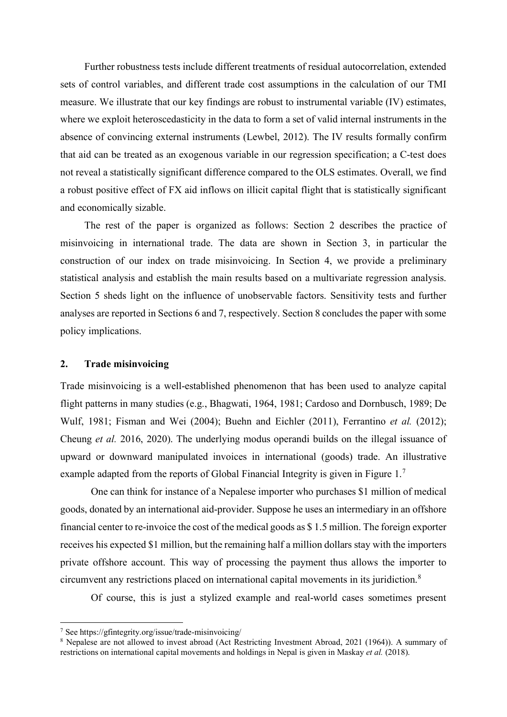Further robustness tests include different treatments of residual autocorrelation, extended sets of control variables, and different trade cost assumptions in the calculation of our TMI measure. We illustrate that our key findings are robust to instrumental variable (IV) estimates, where we exploit heteroscedasticity in the data to form a set of valid internal instruments in the absence of convincing external instruments (Lewbel, 2012). The IV results formally confirm that aid can be treated as an exogenous variable in our regression specification; a C-test does not reveal a statistically significant difference compared to the OLS estimates. Overall, we find a robust positive effect of FX aid inflows on illicit capital flight that is statistically significant and economically sizable.

The rest of the paper is organized as follows: Section 2 describes the practice of misinvoicing in international trade. The data are shown in Section 3, in particular the construction of our index on trade misinvoicing. In Section 4, we provide a preliminary statistical analysis and establish the main results based on a multivariate regression analysis. Section 5 sheds light on the influence of unobservable factors. Sensitivity tests and further analyses are reported in Sections 6 and 7, respectively. Section 8 concludes the paper with some policy implications.

#### **2. Trade misinvoicing**

Trade misinvoicing is a well-established phenomenon that has been used to analyze capital flight patterns in many studies (e.g., Bhagwati, 1964, 1981; Cardoso and Dornbusch, 1989; De Wulf, 1981; Fisman and Wei (2004); Buehn and Eichler (2011), Ferrantino *et al.* (2012); Cheung *et al.* 2016, 2020). The underlying modus operandi builds on the illegal issuance of upward or downward manipulated invoices in international (goods) trade. An illustrative example adapted from the reports of Global Financial Integrity is given in Figure  $1.^7$  $1.^7$ 

One can think for instance of a Nepalese importer who purchases \$1 million of medical goods, donated by an international aid-provider. Suppose he uses an intermediary in an offshore financial center to re-invoice the cost of the medical goods as \$ 1.5 million. The foreign exporter receives his expected \$1 million, but the remaining half a million dollars stay with the importers private offshore account. This way of processing the payment thus allows the importer to circumvent any restrictions placed on international capital movements in its juridiction.[8](#page-5-1)

Of course, this is just a stylized example and real-world cases sometimes present

<span id="page-5-1"></span>

<span id="page-5-0"></span><sup>&</sup>lt;sup>7</sup> See https://gfintegrity.org/issue/trade-misinvoicing/<br><sup>8</sup> Nepalese are not allowed to invest abroad (Act Restricting Investment Abroad, 2021 (1964)). A summary of restrictions on international capital movements and holdings in Nepal is given in Maskay *et al.* (2018).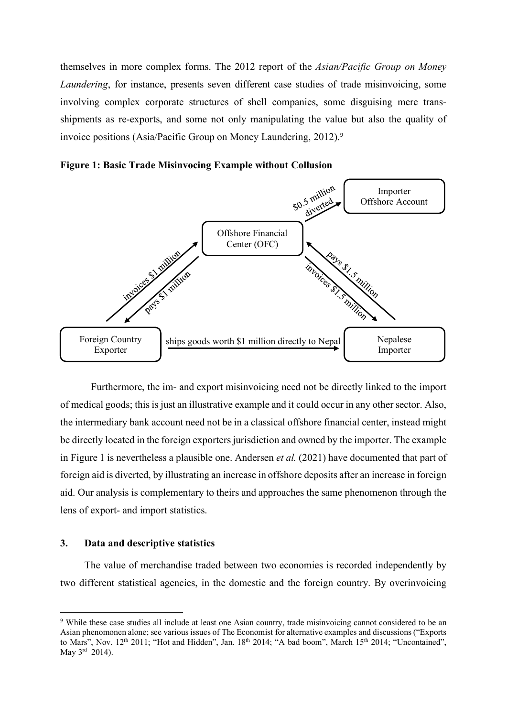themselves in more complex forms. The 2012 report of the *Asian/Pacific Group on Money Laundering*, for instance, presents seven different case studies of trade misinvoicing, some involving complex corporate structures of shell companies, some disguising mere transshipments as re-exports, and some not only manipulating the value but also the quality of invoice positions (Asia/Pacific Group on Money Laundering, 2012).<sup>[9](#page-6-0)</sup>

**Figure 1: Basic Trade Misinvocing Example without Collusion**



Furthermore, the im- and export misinvoicing need not be directly linked to the import of medical goods; this is just an illustrative example and it could occur in any other sector. Also, the intermediary bank account need not be in a classical offshore financial center, instead might be directly located in the foreign exporters jurisdiction and owned by the importer. The example in Figure 1 is nevertheless a plausible one. Andersen *et al.* (2021) have documented that part of foreign aid is diverted, by illustrating an increase in offshore deposits after an increase in foreign aid. Our analysis is complementary to theirs and approaches the same phenomenon through the lens of export- and import statistics.

#### **3. Data and descriptive statistics**

The value of merchandise traded between two economies is recorded independently by two different statistical agencies, in the domestic and the foreign country. By overinvoicing

<span id="page-6-0"></span><sup>9</sup> While these case studies all include at least one Asian country, trade misinvoicing cannot considered to be an Asian phenomonen alone; see various issues of The Economist for alternative examples and discussions ("Exports to Mars", Nov. 12<sup>th</sup> 2011; "Hot and Hidden", Jan. 18<sup>th</sup> 2014; "A bad boom", March 15<sup>th</sup> 2014; "Uncontained", May 3rd 2014).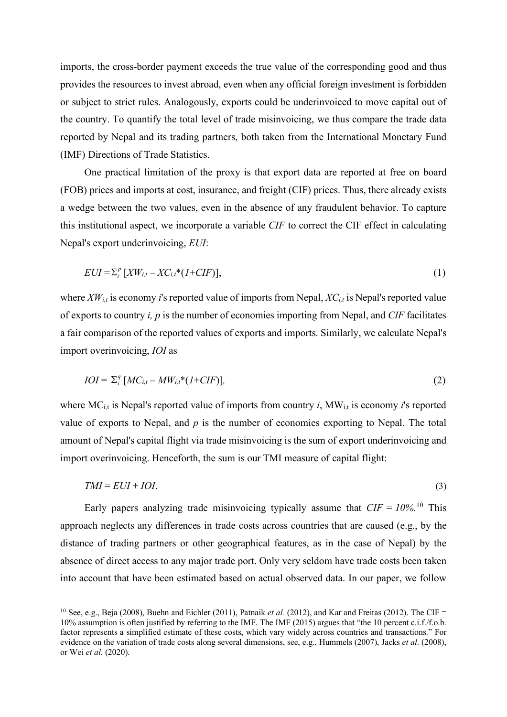imports, the cross-border payment exceeds the true value of the corresponding good and thus provides the resources to invest abroad, even when any official foreign investment is forbidden or subject to strict rules. Analogously, exports could be underinvoiced to move capital out of the country. To quantify the total level of trade misinvoicing, we thus compare the trade data reported by Nepal and its trading partners, both taken from the International Monetary Fund (IMF) Directions of Trade Statistics.

One practical limitation of the proxy is that export data are reported at free on board (FOB) prices and imports at cost, insurance, and freight (CIF) prices. Thus, there already exists a wedge between the two values, even in the absence of any fraudulent behavior. To capture this institutional aspect, we incorporate a variable *CIF* to correct the CIF effect in calculating Nepal's export underinvoicing, *EUI*:

$$
EUI = \sum_{i}^{p} [XW_{i,t} - XC_{i,t} * (1 + CIF)],
$$
\n
$$
(1)
$$

where  $XW_{i,t}$  is economy *i*'s reported value of imports from Nepal,  $XC_{i,t}$  is Nepal's reported value of exports to country *i, p* is the number of economies importing from Nepal, and *CIF* facilitates a fair comparison of the reported values of exports and imports. Similarly, we calculate Nepal's import overinvoicing, *IOI* as

$$
IOI = \sum_{i}^{q} [MC_{i,t} - MW_{i,t} * (1 + CIF)],
$$
\n
$$
(2)
$$

where  $MC_{i,t}$  is Nepal's reported value of imports from country *i*,  $MW_{i,t}$  is economy *i*'s reported value of exports to Nepal, and *p* is the number of economies exporting to Nepal. The total amount of Nepal's capital flight via trade misinvoicing is the sum of export underinvoicing and import overinvoicing. Henceforth, the sum is our TMI measure of capital flight:

$$
TMI = EUI + IOI.
$$
\n<sup>(3)</sup>

Early papers analyzing trade misinvoicing typically assume that  $CIF = 10\%$  $CIF = 10\%$  $CIF = 10\%$ .<sup>10</sup> This approach neglects any differences in trade costs across countries that are caused (e.g., by the distance of trading partners or other geographical features, as in the case of Nepal) by the absence of direct access to any major trade port. Only very seldom have trade costs been taken into account that have been estimated based on actual observed data. In our paper, we follow

<span id="page-7-0"></span><sup>10</sup> See, e.g., Beja (2008), Buehn and Eichler (2011), Patnaik *et al.* (2012), and Kar and Freitas (2012). The CIF = 10% assumption is often justified by referring to the IMF. The IMF (2015) argues that "the 10 percent c.i.f./f.o.b. factor represents a simplified estimate of these costs, which vary widely across countries and transactions." For evidence on the variation of trade costs along several dimensions, see, e.g., Hummels (2007), Jacks *et al*. (2008), or Wei *et al.* (2020).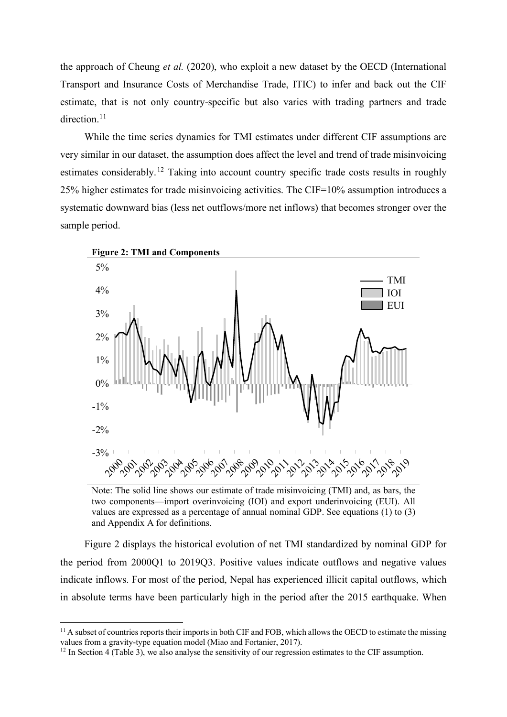the approach of Cheung *et al.* (2020), who exploit a new dataset by the OECD (International Transport and Insurance Costs of Merchandise Trade, ITIC) to infer and back out the CIF estimate, that is not only country-specific but also varies with trading partners and trade direction.<sup>[11](#page-8-0)</sup>

While the time series dynamics for TMI estimates under different CIF assumptions are very similar in our dataset, the assumption does affect the level and trend of trade misinvoicing estimates considerably.<sup>[12](#page-8-1)</sup> Taking into account country specific trade costs results in roughly 25% higher estimates for trade misinvoicing activities. The CIF=10% assumption introduces a systematic downward bias (less net outflows/more net inflows) that becomes stronger over the sample period.



Note: The solid line shows our estimate of trade misinvoicing (TMI) and, as bars, the two components––import overinvoicing (IOI) and export underinvoicing (EUI). All values are expressed as a percentage of annual nominal GDP. See equations (1) to (3) and Appendix A for definitions.

Figure 2 displays the historical evolution of net TMI standardized by nominal GDP for the period from 2000Q1 to 2019Q3. Positive values indicate outflows and negative values indicate inflows. For most of the period, Nepal has experienced illicit capital outflows, which in absolute terms have been particularly high in the period after the 2015 earthquake. When

<span id="page-8-0"></span> $11$  A subset of countries reports their imports in both CIF and FOB, which allows the OECD to estimate the missing values from a gravity-type equation model (Miao and Fortanier, 2017).

<span id="page-8-1"></span><sup>&</sup>lt;sup>12</sup> In Section 4 (Table 3), we also analyse the sensitivity of our regression estimates to the CIF assumption.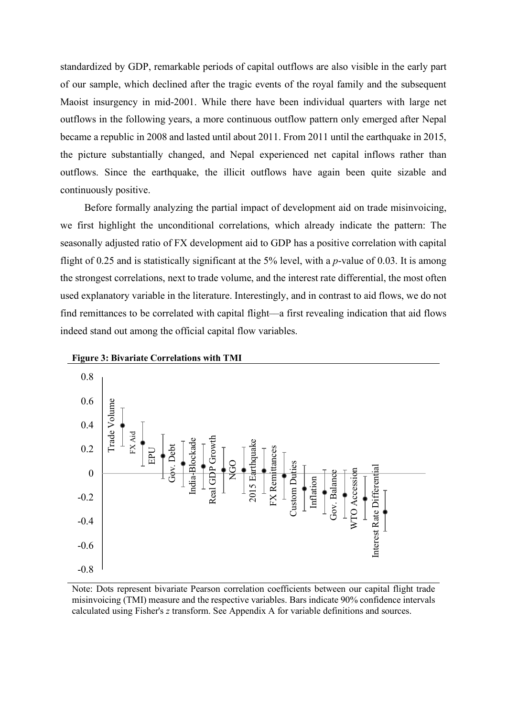standardized by GDP, remarkable periods of capital outflows are also visible in the early part of our sample, which declined after the tragic events of the royal family and the subsequent Maoist insurgency in mid-2001. While there have been individual quarters with large net outflows in the following years, a more continuous outflow pattern only emerged after Nepal became a republic in 2008 and lasted until about 2011. From 2011 until the earthquake in 2015, the picture substantially changed, and Nepal experienced net capital inflows rather than outflows. Since the earthquake, the illicit outflows have again been quite sizable and continuously positive.

Before formally analyzing the partial impact of development aid on trade misinvoicing, we first highlight the unconditional correlations, which already indicate the pattern: The seasonally adjusted ratio of FX development aid to GDP has a positive correlation with capital flight of 0.25 and is statistically significant at the 5% level, with a *p*-value of 0.03. It is among the strongest correlations, next to trade volume, and the interest rate differential, the most often used explanatory variable in the literature. Interestingly, and in contrast to aid flows, we do not find remittances to be correlated with capital flight—a first revealing indication that aid flows indeed stand out among the official capital flow variables.





Note: Dots represent bivariate Pearson correlation coefficients between our capital flight trade misinvoicing (TMI) measure and the respective variables. Bars indicate 90% confidence intervals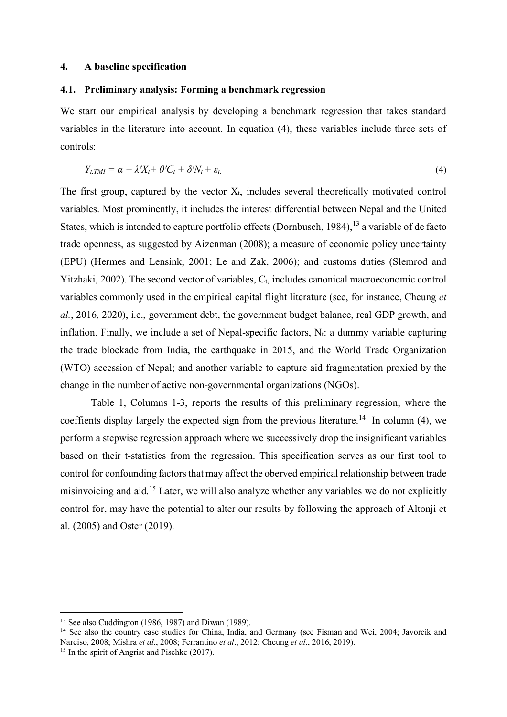#### **4. A baseline specification**

#### **4.1. Preliminary analysis: Forming a benchmark regression**

We start our empirical analysis by developing a benchmark regression that takes standard variables in the literature into account. In equation (4), these variables include three sets of controls:

$$
Y_{t,TM} = \alpha + \lambda' X_t + \theta' C_t + \delta' N_t + \varepsilon_t. \tag{4}
$$

The first group, captured by the vector  $X_t$ , includes several theoretically motivated control variables. Most prominently, it includes the interest differential between Nepal and the United States, which is intended to capture portfolio effects (Dornbusch,  $1984$ ),  $13$  a variable of de facto trade openness, as suggested by Aizenman (2008); a measure of economic policy uncertainty (EPU) (Hermes and Lensink, 2001; Le and Zak, 2006); and customs duties (Slemrod and Yitzhaki, 2002). The second vector of variables,  $C_t$ , includes canonical macroeconomic control variables commonly used in the empirical capital flight literature (see, for instance, Cheung *et al.*, 2016, 2020), i.e., government debt, the government budget balance, real GDP growth, and inflation. Finally, we include a set of Nepal-specific factors,  $N_t$ : a dummy variable capturing the trade blockade from India, the earthquake in 2015, and the World Trade Organization (WTO) accession of Nepal; and another variable to capture aid fragmentation proxied by the change in the number of active non-governmental organizations (NGOs).

Table 1, Columns 1-3, reports the results of this preliminary regression, where the coeffients display largely the expected sign from the previous literature.<sup>[14](#page-10-1)</sup> In column (4), we perform a stepwise regression approach where we successively drop the insignificant variables based on their t-statistics from the regression. This specification serves as our first tool to control for confounding factors that may affect the oberved empirical relationship between trade misinvoicing and aid.[15](#page-10-2) Later, we will also analyze whether any variables we do not explicitly control for, may have the potential to alter our results by following the approach of Altonji et al. (2005) and Oster (2019).

<span id="page-10-0"></span><sup>13</sup> See also Cuddington (1986, 1987) and Diwan (1989).

<span id="page-10-1"></span><sup>&</sup>lt;sup>14</sup> See also the country case studies for China, India, and Germany (see Fisman and Wei, 2004; Javorcik and Narciso, 2008; Mishra *et al*., 2008; Ferrantino *et al*., 2012; Cheung *et al*., 2016, 2019).

<span id="page-10-2"></span><sup>&</sup>lt;sup>15</sup> In the spirit of Angrist and Pischke (2017).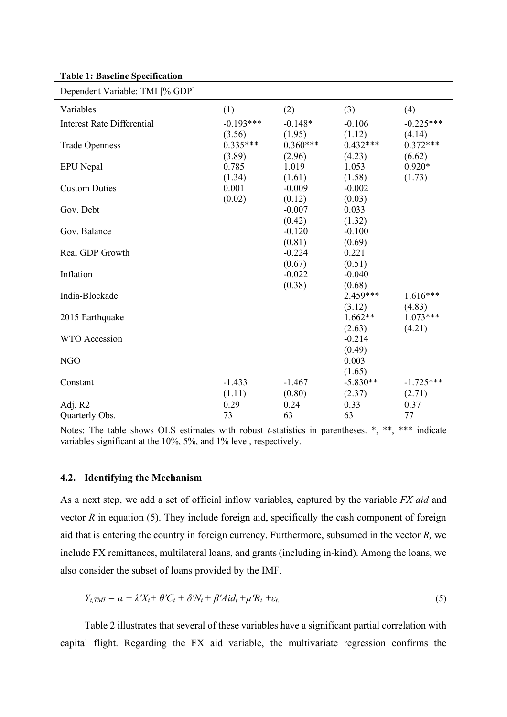#### **Table 1: Baseline Specification**

| $D$ C $D$ C $D$ C $D$ Iluc $D$ variable. T $M$ I $D$ |             |            |            |             |
|------------------------------------------------------|-------------|------------|------------|-------------|
| Variables                                            | (1)         | (2)        | (3)        | (4)         |
| <b>Interest Rate Differential</b>                    | $-0.193***$ | $-0.148*$  | $-0.106$   | $-0.225***$ |
|                                                      | (3.56)      | (1.95)     | (1.12)     | (4.14)      |
| <b>Trade Openness</b>                                | $0.335***$  | $0.360***$ | $0.432***$ | $0.372***$  |
|                                                      | (3.89)      | (2.96)     | (4.23)     | (6.62)      |
| <b>EPU</b> Nepal                                     | 0.785       | 1.019      | 1.053      | $0.920*$    |
|                                                      | (1.34)      | (1.61)     | (1.58)     | (1.73)      |
| <b>Custom Duties</b>                                 | 0.001       | $-0.009$   | $-0.002$   |             |
|                                                      | (0.02)      | (0.12)     | (0.03)     |             |
| Gov. Debt                                            |             | $-0.007$   | 0.033      |             |
|                                                      |             | (0.42)     | (1.32)     |             |
| Gov. Balance                                         |             | $-0.120$   | $-0.100$   |             |
|                                                      |             | (0.81)     | (0.69)     |             |
| Real GDP Growth                                      |             | $-0.224$   | 0.221      |             |
|                                                      |             | (0.67)     | (0.51)     |             |
| Inflation                                            |             | $-0.022$   | $-0.040$   |             |
|                                                      |             | (0.38)     | (0.68)     |             |
| India-Blockade                                       |             |            | 2.459***   | 1.616***    |
|                                                      |             |            | (3.12)     | (4.83)      |
| 2015 Earthquake                                      |             |            | $1.662**$  | $1.073***$  |
|                                                      |             |            | (2.63)     | (4.21)      |
| <b>WTO</b> Accession                                 |             |            | $-0.214$   |             |
|                                                      |             |            | (0.49)     |             |
| <b>NGO</b>                                           |             |            | 0.003      |             |
|                                                      |             |            | (1.65)     |             |
| Constant                                             | $-1.433$    | $-1.467$   | $-5.830**$ | $-1.725***$ |
|                                                      | (1.11)      | (0.80)     | (2.37)     | (2.71)      |
| Adj. R2                                              | 0.29        | 0.24       | 0.33       | 0.37        |
| Quarterly Obs.                                       | 73          | 63         | 63         | 77          |

Dependent Variable: TMI [% GDP]

Notes: The table shows OLS estimates with robust *t-*statistics in parentheses. \*, \*\*, \*\*\* indicate variables significant at the 10%, 5%, and 1% level, respectively.

#### **4.2. Identifying the Mechanism**

As a next step, we add a set of official inflow variables, captured by the variable *FX aid* and vector *R* in equation (5). They include foreign aid, specifically the cash component of foreign aid that is entering the country in foreign currency. Furthermore, subsumed in the vector *R,* we include FX remittances, multilateral loans, and grants (including in-kind). Among the loans, we also consider the subset of loans provided by the IMF.

$$
Y_{t, TM} = \alpha + \lambda' X_t + \theta' C_t + \delta' N_t + \beta' A i d_t + \mu' R_t + \varepsilon_t. \tag{5}
$$

Table 2 illustrates that several of these variables have a significant partial correlation with capital flight. Regarding the FX aid variable, the multivariate regression confirms the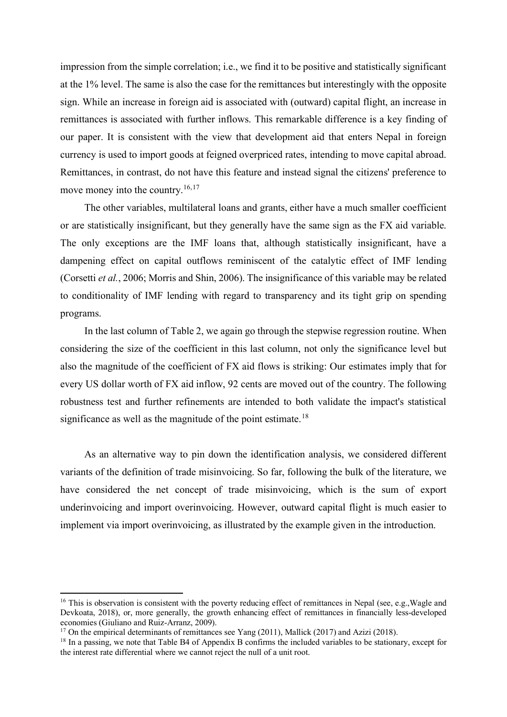impression from the simple correlation; i.e., we find it to be positive and statistically significant at the 1% level. The same is also the case for the remittances but interestingly with the opposite sign. While an increase in foreign aid is associated with (outward) capital flight, an increase in remittances is associated with further inflows. This remarkable difference is a key finding of our paper. It is consistent with the view that development aid that enters Nepal in foreign currency is used to import goods at feigned overpriced rates, intending to move capital abroad. Remittances, in contrast, do not have this feature and instead signal the citizens' preference to move money into the country.<sup>[16,](#page-12-0)[17](#page-12-1)</sup>

The other variables, multilateral loans and grants, either have a much smaller coefficient or are statistically insignificant, but they generally have the same sign as the FX aid variable. The only exceptions are the IMF loans that, although statistically insignificant, have a dampening effect on capital outflows reminiscent of the catalytic effect of IMF lending (Corsetti *et al.*, 2006; Morris and Shin, 2006). The insignificance of this variable may be related to conditionality of IMF lending with regard to transparency and its tight grip on spending programs.

In the last column of Table 2, we again go through the stepwise regression routine. When considering the size of the coefficient in this last column, not only the significance level but also the magnitude of the coefficient of FX aid flows is striking: Our estimates imply that for every US dollar worth of FX aid inflow, 92 cents are moved out of the country. The following robustness test and further refinements are intended to both validate the impact's statistical significance as well as the magnitude of the point estimate.<sup>[18](#page-12-2)</sup>

As an alternative way to pin down the identification analysis, we considered different variants of the definition of trade misinvoicing. So far, following the bulk of the literature, we have considered the net concept of trade misinvoicing, which is the sum of export underinvoicing and import overinvoicing. However, outward capital flight is much easier to implement via import overinvoicing, as illustrated by the example given in the introduction.

<span id="page-12-0"></span> $16$  This is observation is consistent with the poverty reducing effect of remittances in Nepal (see, e.g., Wagle and Devkoata, 2018), or, more generally, the growth enhancing effect of remittances in financially less-developed economies (Giuliano and Ruiz-Arranz, 2009).

<span id="page-12-1"></span><sup>&</sup>lt;sup>17</sup> On the empirical determinants of remittances see Yang (2011), Mallick (2017) and Azizi (2018).

<span id="page-12-2"></span><sup>&</sup>lt;sup>18</sup> In a passing, we note that Table B4 of Appendix B confirms the included variables to be stationary, except for the interest rate differential where we cannot reject the null of a unit root.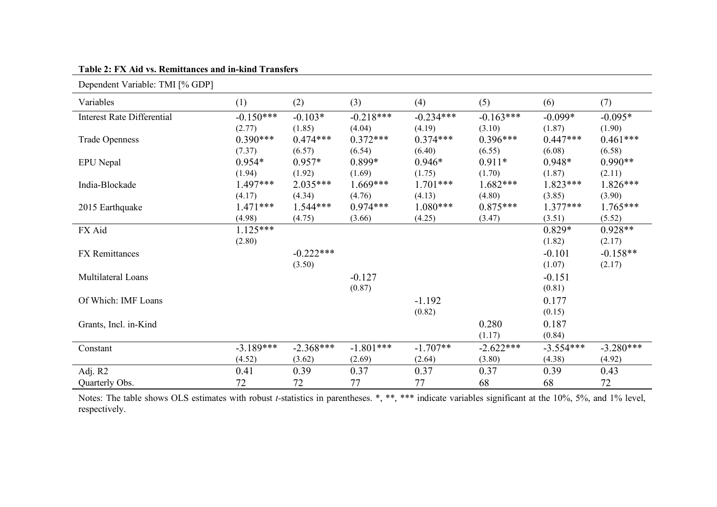| Dependent Variable: TMI [% GDP]   |             |             |             |             |             |             |             |
|-----------------------------------|-------------|-------------|-------------|-------------|-------------|-------------|-------------|
| Variables                         | (1)         | (2)         | (3)         | (4)         | (5)         | (6)         | (7)         |
| <b>Interest Rate Differential</b> | $-0.150***$ | $-0.103*$   | $-0.218***$ | $-0.234***$ | $-0.163***$ | $-0.099*$   | $-0.095*$   |
|                                   | (2.77)      | (1.85)      | (4.04)      | (4.19)      | (3.10)      | (1.87)      | (1.90)      |
| <b>Trade Openness</b>             | $0.390***$  | $0.474***$  | $0.372***$  | $0.374***$  | $0.396***$  | $0.447***$  | $0.461***$  |
|                                   | (7.37)      | (6.57)      | (6.54)      | (6.40)      | (6.55)      | (6.08)      | (6.58)      |
| <b>EPU</b> Nepal                  | $0.954*$    | $0.957*$    | $0.899*$    | $0.946*$    | $0.911*$    | $0.948*$    | $0.990**$   |
|                                   | (1.94)      | (1.92)      | (1.69)      | (1.75)      | (1.70)      | (1.87)      | (2.11)      |
| India-Blockade                    | $1.497***$  | $2.035***$  | $1.669***$  | $1.701***$  | $1.682***$  | $1.823***$  | $1.826***$  |
|                                   | (4.17)      | (4.34)      | (4.76)      | (4.13)      | (4.80)      | (3.85)      | (3.90)      |
| 2015 Earthquake                   | $1.471***$  | $1.544***$  | $0.974***$  | $1.080***$  | $0.875***$  | $1.377***$  | $1.765***$  |
|                                   | (4.98)      | (4.75)      | (3.66)      | (4.25)      | (3.47)      | (3.51)      | (5.52)      |
| FX Aid                            | $1.125***$  |             |             |             |             | $0.829*$    | $0.928**$   |
|                                   | (2.80)      |             |             |             |             | (1.82)      | (2.17)      |
| <b>FX</b> Remittances             |             | $-0.222***$ |             |             |             | $-0.101$    | $-0.158**$  |
|                                   |             | (3.50)      |             |             |             | (1.07)      | (2.17)      |
| Multilateral Loans                |             |             | $-0.127$    |             |             | $-0.151$    |             |
|                                   |             |             | (0.87)      |             |             | (0.81)      |             |
| Of Which: IMF Loans               |             |             |             | $-1.192$    |             | 0.177       |             |
|                                   |             |             |             | (0.82)      |             | (0.15)      |             |
| Grants, Incl. in-Kind             |             |             |             |             | 0.280       | 0.187       |             |
|                                   |             |             |             |             | (1.17)      | (0.84)      |             |
| Constant                          | $-3.189***$ | $-2.368***$ | $-1.801***$ | $-1.707**$  | $-2.622***$ | $-3.554***$ | $-3.280***$ |
|                                   | (4.52)      | (3.62)      | (2.69)      | (2.64)      | (3.80)      | (4.38)      | (4.92)      |
| Adj. R2                           | 0.41        | 0.39        | 0.37        | 0.37        | 0.37        | 0.39        | 0.43        |
| Quarterly Obs.                    | 72          | 72          | 77          | 77          | 68          | 68          | 72          |

**Table 2: FX Aid vs. Remittances and in-kind Transfers**

Notes: The table shows OLS estimates with robust *t-*statistics in parentheses. \*, \*\*, \*\*\* indicate variables significant at the 10%, 5%, and 1% level, respectively.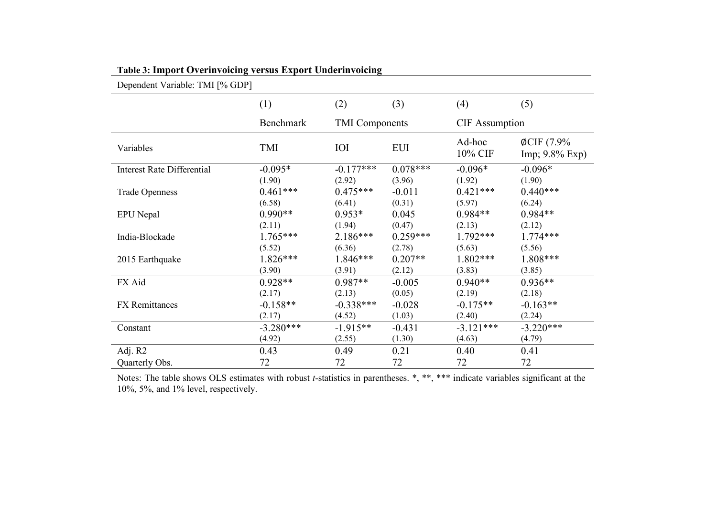| Dependent Variable: TMI [% GDP]   |             |                       |            |                       |                                       |
|-----------------------------------|-------------|-----------------------|------------|-----------------------|---------------------------------------|
|                                   | (1)         | (2)                   | (3)        | (4)                   | (5)                                   |
|                                   | Benchmark   | <b>TMI</b> Components |            | <b>CIF</b> Assumption |                                       |
| Variables                         | TMI         | IOI                   | <b>EUI</b> | Ad-hoc<br>10% CIF     | $\phi$ CIF (7.9%<br>$Imp; 9.8\% Exp)$ |
| <b>Interest Rate Differential</b> | $-0.095*$   | $-0.177***$           | $0.078***$ | $-0.096*$             | $-0.096*$                             |
|                                   | (1.90)      | (2.92)                | (3.96)     | (1.92)                | (1.90)                                |
| <b>Trade Openness</b>             | $0.461***$  | $0.475***$            | $-0.011$   | $0.421***$            | $0.440***$                            |
|                                   | (6.58)      | (6.41)                | (0.31)     | (5.97)                | (6.24)                                |
| <b>EPU</b> Nepal                  | $0.990**$   | $0.953*$              | 0.045      | $0.984**$             | $0.984**$                             |
|                                   | (2.11)      | (1.94)                | (0.47)     | (2.13)                | (2.12)                                |
| India-Blockade                    | $1.765***$  | $2.186***$            | $0.259***$ | $1.792***$            | $1.774***$                            |
|                                   | (5.52)      | (6.36)                | (2.78)     | (5.63)                | (5.56)                                |
| 2015 Earthquake                   | $1.826***$  | $1.846***$            | $0.207**$  | $1.802***$            | 1.808***                              |
|                                   | (3.90)      | (3.91)                | (2.12)     | (3.83)                | (3.85)                                |
| FX Aid                            | $0.928**$   | $0.987**$             | $-0.005$   | $0.940**$             | $0.936**$                             |
|                                   | (2.17)      | (2.13)                | (0.05)     | (2.19)                | (2.18)                                |
| <b>FX</b> Remittances             | $-0.158**$  | $-0.338***$           | $-0.028$   | $-0.175**$            | $-0.163**$                            |
|                                   | (2.17)      | (4.52)                | (1.03)     | (2.40)                | (2.24)                                |
| Constant                          | $-3.280***$ | $-1.915**$            | $-0.431$   | $-3.121***$           | $-3.220***$                           |
|                                   | (4.92)      | (2.55)                | (1.30)     | (4.63)                | (4.79)                                |
| Adj. R2                           | 0.43        | 0.49                  | 0.21       | 0.40                  | 0.41                                  |
| Quarterly Obs.                    | 72          | 72                    | 72         | 72                    | 72                                    |

**Table 3: Import Overinvoicing versus Export Underinvoicing**

Notes: The table shows OLS estimates with robust *t-*statistics in parentheses. \*, \*\*, \*\*\* indicate variables significant at the 10%, 5%, and 1% level, respectively.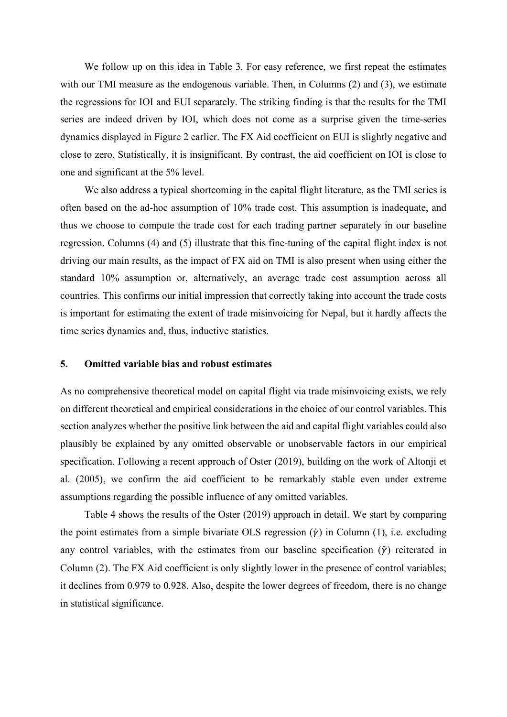We follow up on this idea in Table 3. For easy reference, we first repeat the estimates with our TMI measure as the endogenous variable. Then, in Columns (2) and (3), we estimate the regressions for IOI and EUI separately. The striking finding is that the results for the TMI series are indeed driven by IOI, which does not come as a surprise given the time-series dynamics displayed in Figure 2 earlier. The FX Aid coefficient on EUI is slightly negative and close to zero. Statistically, it is insignificant. By contrast, the aid coefficient on IOI is close to one and significant at the 5% level.

We also address a typical shortcoming in the capital flight literature, as the TMI series is often based on the ad-hoc assumption of 10% trade cost. This assumption is inadequate, and thus we choose to compute the trade cost for each trading partner separately in our baseline regression. Columns (4) and (5) illustrate that this fine-tuning of the capital flight index is not driving our main results, as the impact of FX aid on TMI is also present when using either the standard 10% assumption or, alternatively, an average trade cost assumption across all countries. This confirms our initial impression that correctly taking into account the trade costs is important for estimating the extent of trade misinvoicing for Nepal, but it hardly affects the time series dynamics and, thus, inductive statistics.

#### **5. Omitted variable bias and robust estimates**

As no comprehensive theoretical model on capital flight via trade misinvoicing exists, we rely on different theoretical and empirical considerations in the choice of our control variables. This section analyzes whether the positive link between the aid and capital flight variables could also plausibly be explained by any omitted observable or unobservable factors in our empirical specification. Following a recent approach of Oster (2019), building on the work of Altonji et al. (2005), we confirm the aid coefficient to be remarkably stable even under extreme assumptions regarding the possible influence of any omitted variables.

Table 4 shows the results of the Oster (2019) approach in detail. We start by comparing the point estimates from a simple bivariate OLS regression  $(\gamma)$  in Column (1), i.e. excluding any control variables, with the estimates from our baseline specification  $(\tilde{\gamma})$  reiterated in Column (2). The FX Aid coefficient is only slightly lower in the presence of control variables; it declines from 0.979 to 0.928. Also, despite the lower degrees of freedom, there is no change in statistical significance.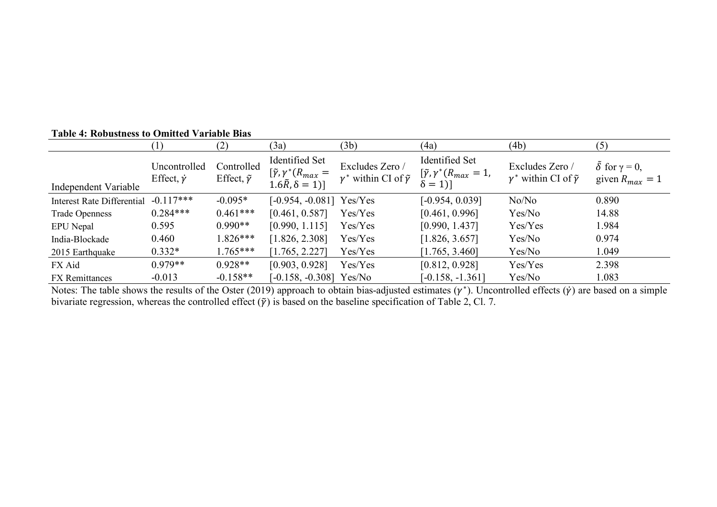|                                   |                                        | (2)                                    | (3a)                                                                                    | (3b)                                                        | (4a)                                                                          | (4b)                                                        | (5)                                                |
|-----------------------------------|----------------------------------------|----------------------------------------|-----------------------------------------------------------------------------------------|-------------------------------------------------------------|-------------------------------------------------------------------------------|-------------------------------------------------------------|----------------------------------------------------|
| Independent Variable              | Uncontrolled<br>Effect, $\dot{\gamma}$ | Controlled<br>Effect, $\tilde{\gamma}$ | Identified Set<br>$[\tilde{\gamma}, \gamma^*(R_{max} =$<br>$1.6\tilde{R}, \delta = 1$ ] | Excludes Zero /<br>$\gamma^*$ within CI of $\tilde{\gamma}$ | Identified Set<br>$[\tilde{\gamma}, \gamma^*(R_{max} = 1)]$<br>$\delta = 1$ ] | Excludes Zero /<br>$\gamma^*$ within CI of $\tilde{\gamma}$ | $\delta$ for $\gamma = 0$ ,<br>given $R_{max} = 1$ |
| <b>Interest Rate Differential</b> | $-0.117***$                            | $-0.095*$                              | $[-0.954, -0.081]$ Yes/Yes                                                              |                                                             | $[-0.954, 0.039]$                                                             | No/No                                                       | 0.890                                              |
| <b>Trade Openness</b>             | $0.284***$                             | $0.461***$                             | [0.461, 0.587]                                                                          | Yes/Yes                                                     | [0.461, 0.996]                                                                | Yes/No                                                      | 14.88                                              |
| EPU Nepal                         | 0.595                                  | $0.990**$                              | [0.990, 1.115]                                                                          | Yes/Yes                                                     | [0.990, 1.437]                                                                | Yes/Yes                                                     | 1.984                                              |
| India-Blockade                    | 0.460                                  | $0.826***$                             | [1.826, 2.308]                                                                          | Yes/Yes                                                     | [1.826, 3.657]                                                                | Yes/No                                                      | 0.974                                              |
| 2015 Earthquake                   | $0.332*$                               | $1.765***$                             | [1.765, 2.227]                                                                          | Yes/Yes                                                     | [1.765, 3.460]                                                                | Yes/No                                                      | 1.049                                              |
| FX Aid                            | $0.979**$                              | $0.928**$                              | [0.903, 0.928]                                                                          | Yes/Yes                                                     | [0.812, 0.928]                                                                | Yes/Yes                                                     | 2.398                                              |
| <b>FX</b> Remittances             | $-0.013$                               | $-0.158**$                             | $[-0.158, -0.308]$ Yes/No                                                               |                                                             | $[-0.158, -1.361]$                                                            | Yes/No                                                      | 1.083                                              |

## **Table 4: Robustness to Omitted Variable Bias**

Notes: The table shows the results of the Oster (2019) approach to obtain bias-adjusted estimates ( $\gamma^*$ ). Uncontrolled effects ( $\dot{\gamma}$ ) are based on a simple bivariate regression, whereas the controlled effect  $(\tilde{y})$  is based on the baseline specification of Table 2, Cl. 7.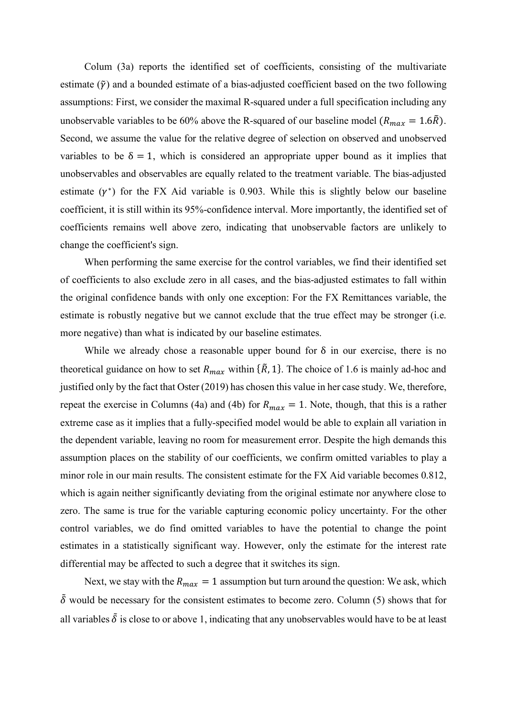Colum (3a) reports the identified set of coefficients, consisting of the multivariate estimate  $(\tilde{\gamma})$  and a bounded estimate of a bias-adjusted coefficient based on the two following assumptions: First, we consider the maximal R-squared under a full specification including any unobservable variables to be 60% above the R-squared of our baseline model ( $R_{max} = 1.6\tilde{R}$ ). Second, we assume the value for the relative degree of selection on observed and unobserved variables to be  $\delta = 1$ , which is considered an appropriate upper bound as it implies that unobservables and observables are equally related to the treatment variable. The bias-adjusted estimate  $(\gamma^*)$  for the FX Aid variable is 0.903. While this is slightly below our baseline coefficient, it is still within its 95%-confidence interval. More importantly, the identified set of coefficients remains well above zero, indicating that unobservable factors are unlikely to change the coefficient's sign.

When performing the same exercise for the control variables, we find their identified set of coefficients to also exclude zero in all cases, and the bias-adjusted estimates to fall within the original confidence bands with only one exception: For the FX Remittances variable, the estimate is robustly negative but we cannot exclude that the true effect may be stronger (i.e. more negative) than what is indicated by our baseline estimates.

While we already chose a reasonable upper bound for  $\delta$  in our exercise, there is no theoretical guidance on how to set  $R_{max}$  within { $\tilde{R}$ , 1}. The choice of 1.6 is mainly ad-hoc and justified only by the fact that Oster (2019) has chosen this value in her case study. We, therefore, repeat the exercise in Columns (4a) and (4b) for  $R_{max} = 1$ . Note, though, that this is a rather extreme case as it implies that a fully-specified model would be able to explain all variation in the dependent variable, leaving no room for measurement error. Despite the high demands this assumption places on the stability of our coefficients, we confirm omitted variables to play a minor role in our main results. The consistent estimate for the FX Aid variable becomes 0.812, which is again neither significantly deviating from the original estimate nor anywhere close to zero. The same is true for the variable capturing economic policy uncertainty. For the other control variables, we do find omitted variables to have the potential to change the point estimates in a statistically significant way. However, only the estimate for the interest rate differential may be affected to such a degree that it switches its sign.

Next, we stay with the  $R_{max} = 1$  assumption but turn around the question: We ask, which  $\tilde{\delta}$  would be necessary for the consistent estimates to become zero. Column (5) shows that for all variables  $\tilde{\delta}$  is close to or above 1, indicating that any unobservables would have to be at least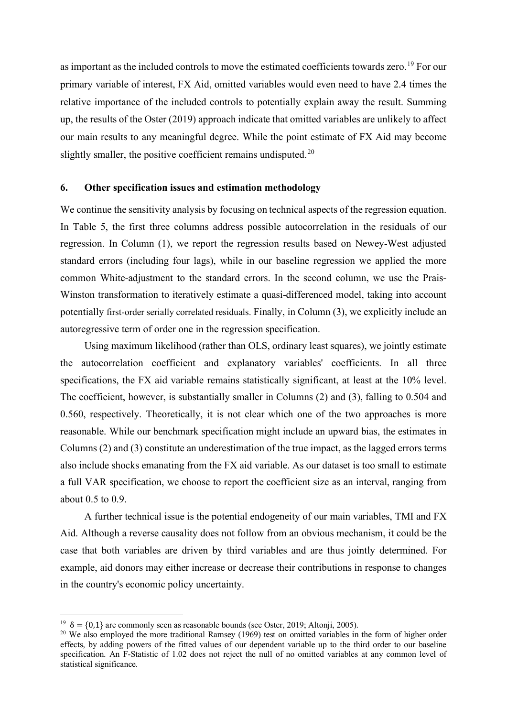as important as the included controls to move the estimated coefficients towards zero.<sup>[19](#page-18-0)</sup> For our primary variable of interest, FX Aid, omitted variables would even need to have 2.4 times the relative importance of the included controls to potentially explain away the result. Summing up, the results of the Oster (2019) approach indicate that omitted variables are unlikely to affect our main results to any meaningful degree. While the point estimate of FX Aid may become slightly smaller, the positive coefficient remains undisputed.<sup>[20](#page-18-1)</sup>

#### **6. Other specification issues and estimation methodology**

We continue the sensitivity analysis by focusing on technical aspects of the regression equation. In Table 5, the first three columns address possible autocorrelation in the residuals of our regression. In Column (1), we report the regression results based on Newey-West adjusted standard errors (including four lags), while in our baseline regression we applied the more common White-adjustment to the standard errors. In the second column, we use the Prais-Winston transformation to iteratively estimate a quasi-differenced model, taking into account potentially first-order serially correlated residuals. Finally, in Column (3), we explicitly include an autoregressive term of order one in the regression specification.

Using maximum likelihood (rather than OLS, ordinary least squares), we jointly estimate the autocorrelation coefficient and explanatory variables' coefficients. In all three specifications, the FX aid variable remains statistically significant, at least at the 10% level. The coefficient, however, is substantially smaller in Columns (2) and (3), falling to 0.504 and 0.560, respectively. Theoretically, it is not clear which one of the two approaches is more reasonable. While our benchmark specification might include an upward bias, the estimates in Columns (2) and (3) constitute an underestimation of the true impact, as the lagged errors terms also include shocks emanating from the FX aid variable. As our dataset is too small to estimate a full VAR specification, we choose to report the coefficient size as an interval, ranging from about 0.5 to 0.9.

A further technical issue is the potential endogeneity of our main variables, TMI and FX Aid. Although a reverse causality does not follow from an obvious mechanism, it could be the case that both variables are driven by third variables and are thus jointly determined. For example, aid donors may either increase or decrease their contributions in response to changes in the country's economic policy uncertainty.

<span id="page-18-1"></span><span id="page-18-0"></span><sup>&</sup>lt;sup>19</sup>  $\delta = \{0,1\}$  are commonly seen as reasonable bounds (see Oster, 2019; Altonji, 2005).<br><sup>20</sup> We also employed the more traditional Ramsey (1969) test on omitted variables in the form of higher order effects, by adding powers of the fitted values of our dependent variable up to the third order to our baseline specification. An F-Statistic of 1.02 does not reject the null of no omitted variables at any common level of statistical significance.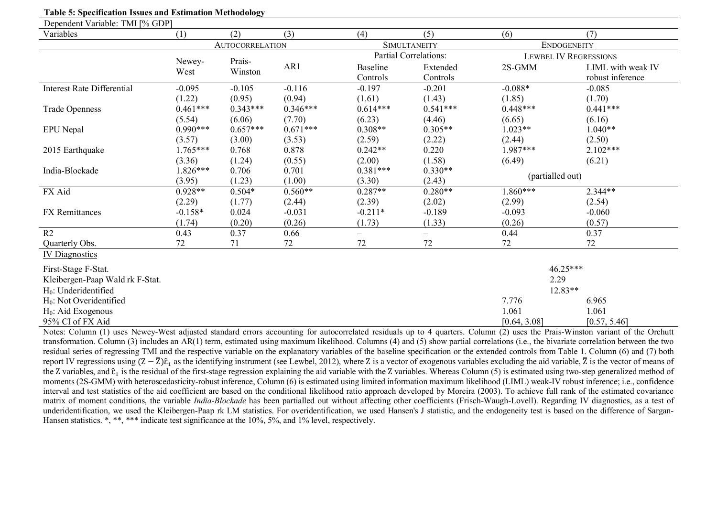| <b>Table 5: Specification Issues and Estimation Methodology</b> |                |                        |            |                             |                              |                  |                                       |
|-----------------------------------------------------------------|----------------|------------------------|------------|-----------------------------|------------------------------|------------------|---------------------------------------|
| Dependent Variable: TMI [% GDP]                                 |                |                        |            |                             |                              |                  |                                       |
| Variables                                                       | (1)            | (2)                    | (3)        | (4)                         | (5)                          | (6)              | (7)                                   |
|                                                                 |                | <b>AUTOCORRELATION</b> |            |                             | <b>SIMULTANEITY</b>          |                  | <b>ENDOGENEITY</b>                    |
|                                                                 |                |                        |            |                             | <b>Partial Correlations:</b> |                  | <b>LEWBEL IV REGRESSIONS</b>          |
|                                                                 | Newey-<br>West | Prais-<br>Winston      | AR1        | <b>Baseline</b><br>Controls | Extended<br>Controls         | 2S-GMM           | LIML with weak IV<br>robust inference |
| <b>Interest Rate Differential</b>                               | $-0.095$       | $-0.105$               | $-0.116$   | $-0.197$                    | $-0.201$                     | $-0.088*$        | $-0.085$                              |
|                                                                 | (1.22)         | (0.95)                 | (0.94)     | (1.61)                      | (1.43)                       | (1.85)           | (1.70)                                |
| <b>Trade Openness</b>                                           | $0.461***$     | $0.343***$             | $0.346***$ | $0.614***$                  | $0.541***$                   | $0.448***$       | $0.441***$                            |
|                                                                 | (5.54)         | (6.06)                 | (7.70)     | (6.23)                      | (4.46)                       | (6.65)           | (6.16)                                |
| EPU Nepal                                                       | $0.990***$     | $0.657***$             | $0.671***$ | $0.308**$                   | $0.305**$                    | $1.023**$        | $1.040**$                             |
|                                                                 | (3.57)         | (3.00)                 | (3.53)     | (2.59)                      | (2.22)                       | (2.44)           | (2.50)                                |
| 2015 Earthquake                                                 | $1.765***$     | 0.768                  | 0.878      | $0.242**$                   | 0.220                        | $1.987***$       | $2.102***$                            |
|                                                                 | (3.36)         | (1.24)                 | (0.55)     | (2.00)                      | (1.58)                       | (6.49)           | (6.21)                                |
| India-Blockade                                                  | $1.826***$     | 0.706                  | 0.701      | $0.381***$                  | $0.330**$                    | (partialled out) |                                       |
|                                                                 | (3.95)         | (1.23)                 | (1.00)     | (3.30)                      | (2.43)                       |                  |                                       |
| FX Aid                                                          | $0.928**$      | $0.504*$               | $0.560**$  | $0.287**$                   | $0.280**$                    | $1.860***$       | $2.344**$                             |
|                                                                 | (2.29)         | (1.77)                 | (2.44)     | (2.39)                      | (2.02)                       | (2.99)           | (2.54)                                |
| <b>FX</b> Remittances                                           | $-0.158*$      | 0.024                  | $-0.031$   | $-0.211*$                   | $-0.189$                     | $-0.093$         | $-0.060$                              |
|                                                                 | (1.74)         | (0.20)                 | (0.26)     | (1.73)                      | (1.33)                       | (0.26)           | (0.57)                                |
| R2                                                              | 0.43           | 0.37                   | 0.66       | $\overline{\phantom{0}}$    | $=$                          | 0.44             | 0.37                                  |
| Quarterly Obs.                                                  | 72             | 71                     | 72         | 72                          | 72                           | 72               | 72                                    |
| <b>IV Diagnostics</b>                                           |                |                        |            |                             |                              |                  |                                       |
| First-Stage F-Stat.                                             |                |                        |            |                             |                              |                  | $46.25***$                            |
| Kleibergen-Paap Wald rk F-Stat.                                 |                |                        |            |                             |                              | 2.29             |                                       |
| $H_0$ : Underidentified                                         |                |                        |            |                             |                              | 12.83**          |                                       |
| $H_0$ : Not Overidentified                                      |                |                        |            |                             |                              | 7.776            | 6.965                                 |
| $H0$ : Aid Exogenous                                            |                |                        |            |                             |                              | 1.061            | 1.061                                 |
| 95% CI of FX Aid                                                |                |                        |            |                             |                              | [0.64, 3.08]     | [0.57, 5.46]                          |

Notes: Column (1) uses Newey-West adjusted standard errors accounting for autocorrelated residuals up to 4 quarters. Column (2) uses the Prais-Winston variant of the Orchutt transformation. Column (3) includes an AR(1) term, estimated using maximum likelihood. Columns (4) and (5) show partial correlations (i.e., the bivariate correlation between the two residual series of regressing TMI and the respective variable on the explanatory variables of the baseline specification or the extended controls from Table 1. Column (6) and (7) both report IV regressions using  $(Z - \bar{Z})\hat{\epsilon}_1$  as the identifying instrument (see Lewbel, 2012), where Z is a vector of exogenous variables excluding the aid variable,  $\bar{Z}$  is the vector of means of the Z variables, and  $\hat{\epsilon}$ <sub>1</sub> is the residual of the first-stage regression explaining the aid variable with the Z variables. Whereas Column (5) is estimated using two-step generalized method of moments (2S-GMM) with heteroscedasticity-robust inference, Column (6) is estimated using limited information maximum likelihood (LIML) weak-IV robust inference; i.e., confidence interval and test statistics of the aid coefficient are based on the conditional likelihood ratio approach developed by Moreira (2003). To achieve full rank of the estimated covariance matrix of moment conditions, the variable *India-Blockade* has been partialled out without affecting other coefficients (Frisch-Waugh-Lovell). Regarding IV diagnostics, as a test of underidentification, we used the Kleibergen-Paap rk LM statistics. For overidentification, we used Hansen's J statistic, and the endogeneity test is based on the difference of Sargan-Hansen statistics. \*, \*\*\* \*\*\* indicate test significance at the 10%, 5%, and 1% level, respectively.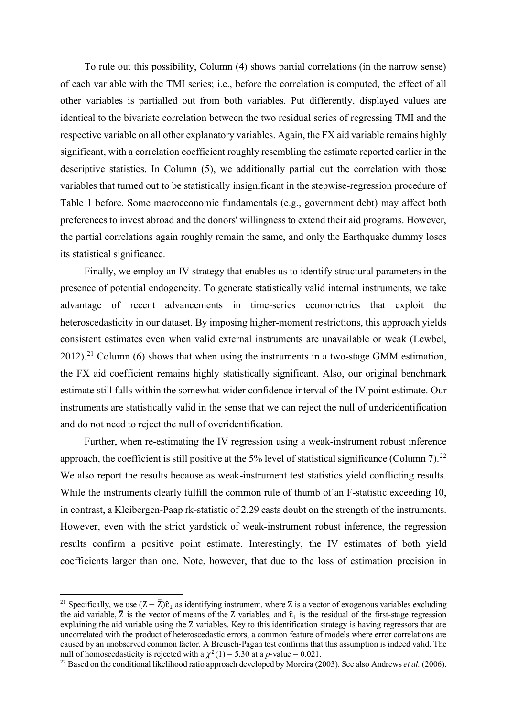To rule out this possibility, Column (4) shows partial correlations (in the narrow sense) of each variable with the TMI series; i.e., before the correlation is computed, the effect of all other variables is partialled out from both variables. Put differently, displayed values are identical to the bivariate correlation between the two residual series of regressing TMI and the respective variable on all other explanatory variables. Again, the FX aid variable remains highly significant, with a correlation coefficient roughly resembling the estimate reported earlier in the descriptive statistics. In Column (5), we additionally partial out the correlation with those variables that turned out to be statistically insignificant in the stepwise-regression procedure of Table 1 before. Some macroeconomic fundamentals (e.g., government debt) may affect both preferences to invest abroad and the donors' willingness to extend their aid programs. However, the partial correlations again roughly remain the same, and only the Earthquake dummy loses its statistical significance.

Finally, we employ an IV strategy that enables us to identify structural parameters in the presence of potential endogeneity. To generate statistically valid internal instruments, we take advantage of recent advancements in time-series econometrics that exploit the heteroscedasticity in our dataset. By imposing higher-moment restrictions, this approach yields consistent estimates even when valid external instruments are unavailable or weak (Lewbel, 2012).<sup>[21](#page-20-0)</sup> Column (6) shows that when using the instruments in a two-stage GMM estimation, the FX aid coefficient remains highly statistically significant. Also, our original benchmark estimate still falls within the somewhat wider confidence interval of the IV point estimate. Our instruments are statistically valid in the sense that we can reject the null of underidentification and do not need to reject the null of overidentification.

Further, when re-estimating the IV regression using a weak-instrument robust inference approach, the coefficient is still positive at the 5% level of statistical significance (Column 7).<sup>[22](#page-20-1)</sup> We also report the results because as weak-instrument test statistics yield conflicting results. While the instruments clearly fulfill the common rule of thumb of an F-statistic exceeding 10, in contrast, a Kleibergen-Paap rk-statistic of 2.29 casts doubt on the strength of the instruments. However, even with the strict yardstick of weak-instrument robust inference, the regression results confirm a positive point estimate. Interestingly, the IV estimates of both yield coefficients larger than one. Note, however, that due to the loss of estimation precision in

<span id="page-20-0"></span><sup>&</sup>lt;sup>21</sup> Specifically, we use  $(Z - \overline{Z})\hat{\epsilon}_1$  as identifying instrument, where Z is a vector of exogenous variables excluding the aid variable,  $\bar{Z}$  is the vector of means of the Z variables, and  $\hat{\epsilon}_1$  is the residual of the first-stage regression explaining the aid variable using the Z variables. Key to this identification strategy is having regressors that are uncorrelated with the product of heteroscedastic errors, a common feature of models where error correlations are caused by an unobserved common factor. A Breusch-Pagan test confirms that this assumption is indeed valid. The null of homoscedasticity is rejected with a  $\chi^2(1) = 5.30$  at a p-value = 0.021.

<span id="page-20-1"></span><sup>&</sup>lt;sup>22</sup> Based on the conditional likelihood ratio approach developed by Moreira (2003). See also Andrews *et al.* (2006).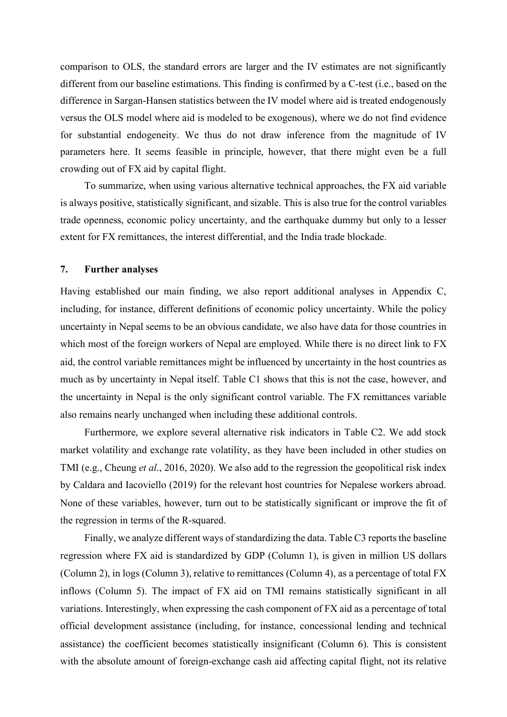comparison to OLS, the standard errors are larger and the IV estimates are not significantly different from our baseline estimations. This finding is confirmed by a C-test (i.e., based on the difference in Sargan-Hansen statistics between the IV model where aid is treated endogenously versus the OLS model where aid is modeled to be exogenous), where we do not find evidence for substantial endogeneity. We thus do not draw inference from the magnitude of IV parameters here. It seems feasible in principle, however, that there might even be a full crowding out of FX aid by capital flight.

To summarize, when using various alternative technical approaches, the FX aid variable is always positive, statistically significant, and sizable. This is also true for the control variables trade openness, economic policy uncertainty, and the earthquake dummy but only to a lesser extent for FX remittances, the interest differential, and the India trade blockade.

#### **7. Further analyses**

Having established our main finding, we also report additional analyses in Appendix C, including, for instance, different definitions of economic policy uncertainty. While the policy uncertainty in Nepal seems to be an obvious candidate, we also have data for those countries in which most of the foreign workers of Nepal are employed. While there is no direct link to FX aid, the control variable remittances might be influenced by uncertainty in the host countries as much as by uncertainty in Nepal itself. Table C1 shows that this is not the case, however, and the uncertainty in Nepal is the only significant control variable. The FX remittances variable also remains nearly unchanged when including these additional controls.

Furthermore, we explore several alternative risk indicators in Table C2. We add stock market volatility and exchange rate volatility, as they have been included in other studies on TMI (e.g., Cheung *et al*., 2016, 2020). We also add to the regression the geopolitical risk index by Caldara and Iacoviello (2019) for the relevant host countries for Nepalese workers abroad. None of these variables, however, turn out to be statistically significant or improve the fit of the regression in terms of the R-squared.

Finally, we analyze different ways of standardizing the data. Table C3 reports the baseline regression where FX aid is standardized by GDP (Column 1), is given in million US dollars (Column 2), in logs (Column 3), relative to remittances (Column 4), as a percentage of total FX inflows (Column 5). The impact of FX aid on TMI remains statistically significant in all variations. Interestingly, when expressing the cash component of FX aid as a percentage of total official development assistance (including, for instance, concessional lending and technical assistance) the coefficient becomes statistically insignificant (Column 6). This is consistent with the absolute amount of foreign-exchange cash aid affecting capital flight, not its relative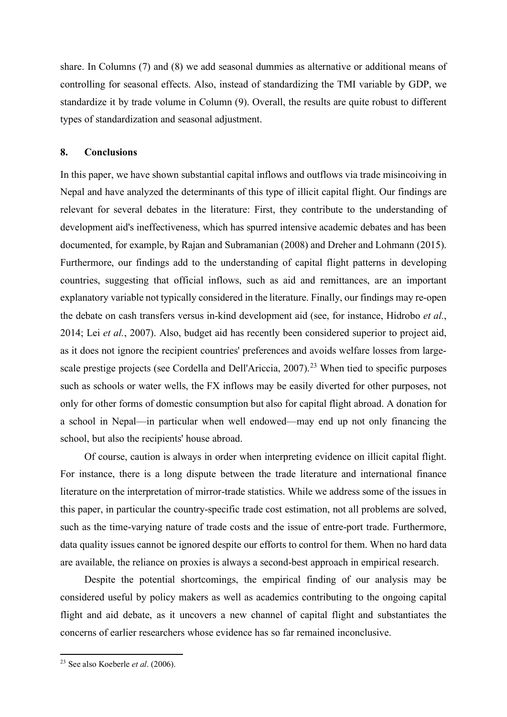share. In Columns (7) and (8) we add seasonal dummies as alternative or additional means of controlling for seasonal effects. Also, instead of standardizing the TMI variable by GDP, we standardize it by trade volume in Column (9). Overall, the results are quite robust to different types of standardization and seasonal adjustment.

#### **8. Conclusions**

In this paper, we have shown substantial capital inflows and outflows via trade misincoiving in Nepal and have analyzed the determinants of this type of illicit capital flight. Our findings are relevant for several debates in the literature: First, they contribute to the understanding of development aid's ineffectiveness, which has spurred intensive academic debates and has been documented, for example, by Rajan and Subramanian (2008) and Dreher and Lohmann (2015). Furthermore, our findings add to the understanding of capital flight patterns in developing countries, suggesting that official inflows, such as aid and remittances, are an important explanatory variable not typically considered in the literature. Finally, our findings may re-open the debate on cash transfers versus in-kind development aid (see, for instance, Hidrobo *et al.*, 2014; Lei *et al.*, 2007). Also, budget aid has recently been considered superior to project aid, as it does not ignore the recipient countries' preferences and avoids welfare losses from large-scale prestige projects (see Cordella and Dell'Ariccia, 2007).<sup>[23](#page-22-0)</sup> When tied to specific purposes such as schools or water wells, the FX inflows may be easily diverted for other purposes, not only for other forms of domestic consumption but also for capital flight abroad. A donation for a school in Nepal––in particular when well endowed––may end up not only financing the school, but also the recipients' house abroad.

Of course, caution is always in order when interpreting evidence on illicit capital flight. For instance, there is a long dispute between the trade literature and international finance literature on the interpretation of mirror-trade statistics. While we address some of the issues in this paper, in particular the country-specific trade cost estimation, not all problems are solved, such as the time-varying nature of trade costs and the issue of entre-port trade. Furthermore, data quality issues cannot be ignored despite our efforts to control for them. When no hard data are available, the reliance on proxies is always a second-best approach in empirical research.

Despite the potential shortcomings, the empirical finding of our analysis may be considered useful by policy makers as well as academics contributing to the ongoing capital flight and aid debate, as it uncovers a new channel of capital flight and substantiates the concerns of earlier researchers whose evidence has so far remained inconclusive.

<span id="page-22-0"></span><sup>23</sup> See also Koeberle *et al*. (2006).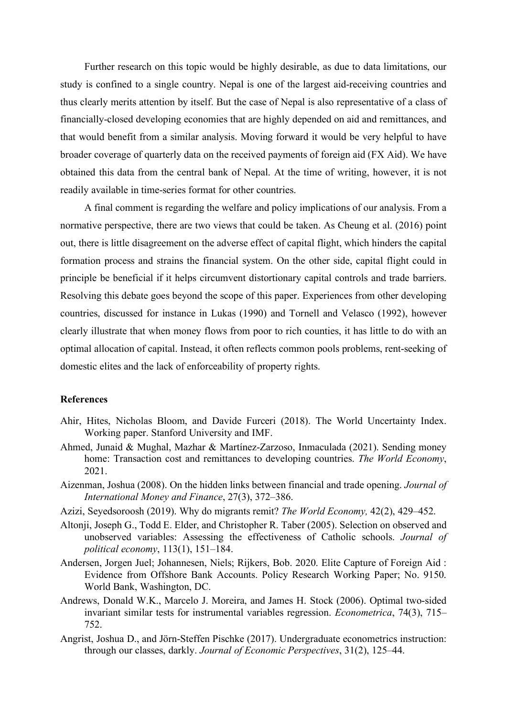Further research on this topic would be highly desirable, as due to data limitations, our study is confined to a single country. Nepal is one of the largest aid-receiving countries and thus clearly merits attention by itself. But the case of Nepal is also representative of a class of financially-closed developing economies that are highly depended on aid and remittances, and that would benefit from a similar analysis. Moving forward it would be very helpful to have broader coverage of quarterly data on the received payments of foreign aid (FX Aid). We have obtained this data from the central bank of Nepal. At the time of writing, however, it is not readily available in time-series format for other countries.

A final comment is regarding the welfare and policy implications of our analysis. From a normative perspective, there are two views that could be taken. As Cheung et al. (2016) point out, there is little disagreement on the adverse effect of capital flight, which hinders the capital formation process and strains the financial system. On the other side, capital flight could in principle be beneficial if it helps circumvent distortionary capital controls and trade barriers. Resolving this debate goes beyond the scope of this paper. Experiences from other developing countries, discussed for instance in Lukas (1990) and Tornell and Velasco (1992), however clearly illustrate that when money flows from poor to rich counties, it has little to do with an optimal allocation of capital. Instead, it often reflects common pools problems, rent-seeking of domestic elites and the lack of enforceability of property rights.

#### **References**

- Ahir, Hites, Nicholas Bloom, and Davide Furceri (2018). The World Uncertainty Index. Working paper. Stanford University and IMF.
- Ahmed, Junaid & Mughal, Mazhar & Martínez-Zarzoso, Inmaculada (2021). Sending money home: Transaction cost and remittances to developing countries. *The World Economy*, 2021.
- Aizenman, Joshua (2008). On the hidden links between financial and trade opening. *Journal of International Money and Finance*, 27(3), 372–386.
- Azizi, Seyedsoroosh (2019). Why do migrants remit? *The World Economy,* 42(2), 429–452.
- Altonji, Joseph G., Todd E. Elder, and Christopher R. Taber (2005). Selection on observed and unobserved variables: Assessing the effectiveness of Catholic schools. *Journal of political economy*, 113(1), 151–184.
- Andersen, Jorgen Juel; Johannesen, Niels; Rijkers, Bob. 2020. Elite Capture of Foreign Aid : Evidence from Offshore Bank Accounts. Policy Research Working Paper; No. 9150. World Bank, Washington, DC.
- Andrews, Donald W.K., Marcelo J. Moreira, and James H. Stock (2006). Optimal two‐sided invariant similar tests for instrumental variables regression. *Econometrica*, 74(3), 715– 752.
- Angrist, Joshua D., and Jörn-Steffen Pischke (2017). Undergraduate econometrics instruction: through our classes, darkly. *Journal of Economic Perspectives*, 31(2), 125–44.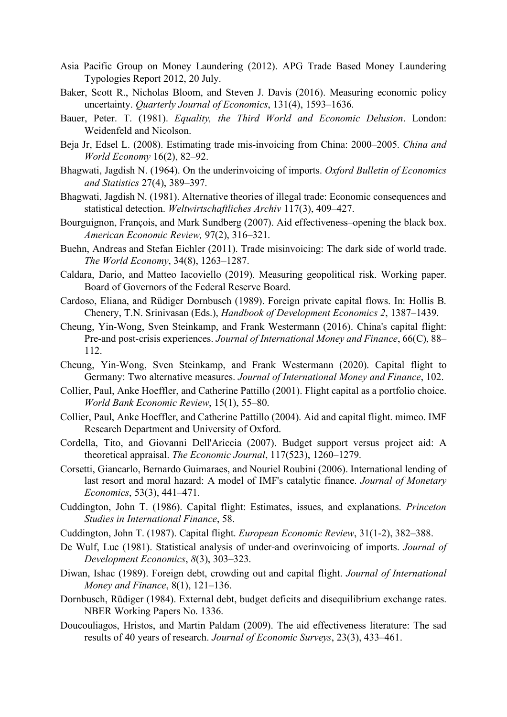- Asia Pacific Group on Money Laundering (2012). APG Trade Based Money Laundering Typologies Report 2012, 20 July.
- Baker, Scott R., Nicholas Bloom, and Steven J. Davis (2016). Measuring economic policy uncertainty. *Quarterly Journal of Economics*, 131(4), 1593–1636.
- Bauer, Peter. T. (1981). *Equality, the Third World and Economic Delusion*. London: Weidenfeld and Nicolson.
- Beja Jr, Edsel L. (2008). Estimating trade mis‐invoicing from China: 2000–2005. *China and World Economy* 16(2), 82–92.
- Bhagwati, Jagdish N. (1964). On the underinvoicing of imports. *Oxford Bulletin of Economics and Statistics* 27(4), 389–397.
- Bhagwati, Jagdish N. (1981). Alternative theories of illegal trade: Economic consequences and statistical detection. *Weltwirtschaftliches Archiv* 117(3), 409–427.
- Bourguignon, François, and Mark Sundberg (2007). Aid effectiveness–opening the black box. *American Economic Review,* 97(2), 316–321.
- Buehn, Andreas and Stefan Eichler (2011). Trade misinvoicing: The dark side of world trade. *The World Economy*, 34(8), 1263–1287.
- Caldara, Dario, and Matteo Iacoviello (2019). Measuring geopolitical risk. Working paper. Board of Governors of the Federal Reserve Board.
- Cardoso, Eliana, and Rüdiger Dornbusch (1989). Foreign private capital flows. In: Hollis B. Chenery, T.N. Srinivasan (Eds.), *Handbook of Development Economics 2*, 1387–1439.
- Cheung, Yin-Wong, Sven Steinkamp, and Frank Westermann (2016). China's capital flight: Pre-and post*-*crisis experiences. *Journal of International Money and Finance*, 66(C), 88– 112.
- Cheung, Yin-Wong, Sven Steinkamp, and Frank Westermann (2020). Capital flight to Germany: Two alternative measures. *Journal of International Money and Finance*, 102.
- Collier, Paul, Anke Hoeffler, and Catherine Pattillo (2001). Flight capital as a portfolio choice. *World Bank Economic Review*, 15(1), 55–80.
- Collier, Paul, Anke Hoeffler, and Catherine Pattillo (2004). Aid and capital flight. mimeo. IMF Research Department and University of Oxford.
- Cordella, Tito, and Giovanni Dell'Ariccia (2007). Budget support versus project aid: A theoretical appraisal. *The Economic Journal*, 117(523), 1260–1279.
- Corsetti, Giancarlo, Bernardo Guimaraes, and Nouriel Roubini (2006). International lending of last resort and moral hazard: A model of IMF's catalytic finance. *Journal of Monetary Economics*, 53(3), 441–471.
- Cuddington, John T. (1986). Capital flight: Estimates, issues, and explanations. *Princeton Studies in International Finance*, 58.
- Cuddington, John T. (1987). Capital flight. *European Economic Review*, 31(1-2), 382–388.
- De Wulf, Luc (1981). Statistical analysis of under-and overinvoicing of imports. *Journal of Development Economics*, *8*(3), 303–323.
- Diwan, Ishac (1989). Foreign debt, crowding out and capital flight. *Journal of International Money and Finance*, 8(1), 121–136.
- Dornbusch, Rüdiger (1984). External debt, budget deficits and disequilibrium exchange rates. NBER Working Papers No. 1336.
- Doucouliagos, Hristos, and Martin Paldam (2009). The aid effectiveness literature: The sad results of 40 years of research. *Journal of Economic Surveys*, 23(3), 433–461.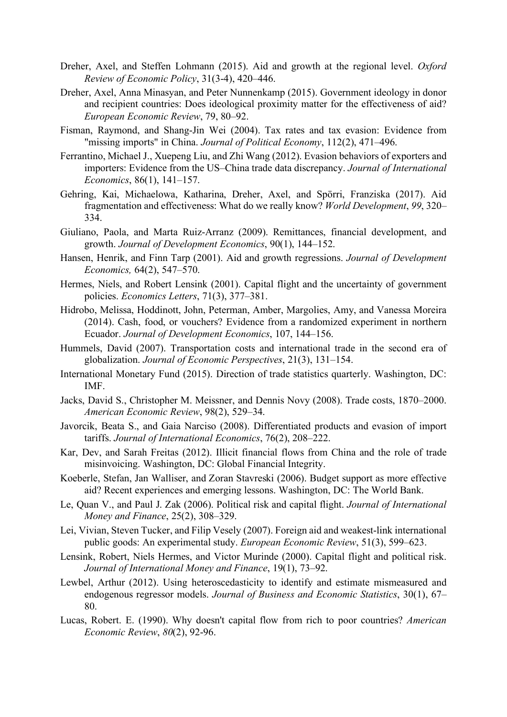- Dreher, Axel, and Steffen Lohmann (2015). Aid and growth at the regional level. *Oxford Review of Economic Policy*, 31(3-4), 420–446.
- Dreher, Axel, Anna Minasyan, and Peter Nunnenkamp (2015). Government ideology in donor and recipient countries: Does ideological proximity matter for the effectiveness of aid? *European Economic Review*, 79, 80–92.
- Fisman, Raymond, and Shang-Jin Wei (2004). Tax rates and tax evasion: Evidence from "missing imports" in China. *Journal of Political Economy*, 112(2), 471–496.
- Ferrantino, Michael J., Xuepeng Liu, and Zhi Wang (2012). Evasion behaviors of exporters and importers: Evidence from the US–China trade data discrepancy. *Journal of International Economics*, 86(1), 141–157.
- Gehring, Kai, Michaelowa, Katharina, Dreher, Axel, and Spörri, Franziska (2017). Aid fragmentation and effectiveness: What do we really know? *World Development*, *99*, 320– 334.
- Giuliano, Paola, and Marta Ruiz-Arranz (2009). Remittances, financial development, and growth. *Journal of Development Economics*, 90(1), 144–152.
- Hansen, Henrik, and Finn Tarp (2001). Aid and growth regressions. *Journal of Development Economics,* 64(2), 547–570.
- Hermes, Niels, and Robert Lensink (2001). Capital flight and the uncertainty of government policies. *Economics Letters*, 71(3), 377–381.
- Hidrobo, Melissa, Hoddinott, John, Peterman, Amber, Margolies, Amy, and Vanessa Moreira (2014). Cash, food, or vouchers? Evidence from a randomized experiment in northern Ecuador. *Journal of Development Economics*, 107, 144–156.
- Hummels, David (2007). Transportation costs and international trade in the second era of globalization. *Journal of Economic Perspectives*, 21(3), 131–154.
- International Monetary Fund (2015). Direction of trade statistics quarterly. Washington, DC: IMF.
- Jacks, David S., Christopher M. Meissner, and Dennis Novy (2008). Trade costs, 1870–2000. *American Economic Review*, 98(2), 529–34.
- Javorcik, Beata S., and Gaia Narciso (2008). Differentiated products and evasion of import tariffs. *Journal of International Economics*, 76(2), 208–222.
- Kar, Dev, and Sarah Freitas (2012). Illicit financial flows from China and the role of trade misinvoicing. Washington, DC: Global Financial Integrity.
- Koeberle, Stefan, Jan Walliser, and Zoran Stavreski (2006). Budget support as more effective aid? Recent experiences and emerging lessons. Washington, DC: The World Bank.
- Le, Quan V., and Paul J. Zak (2006). Political risk and capital flight. *Journal of International Money and Finance*, 25(2), 308–329.
- Lei, Vivian, Steven Tucker, and Filip Vesely (2007). Foreign aid and weakest-link international public goods: An experimental study. *European Economic Review*, 51(3), 599–623.
- Lensink, Robert, Niels Hermes, and Victor Murinde (2000). Capital flight and political risk. *Journal of International Money and Finance*, 19(1), 73–92.
- Lewbel, Arthur (2012). Using heteroscedasticity to identify and estimate mismeasured and endogenous regressor models. *Journal of Business and Economic Statistics*, 30(1), 67– 80.
- Lucas, Robert. E. (1990). Why doesn't capital flow from rich to poor countries? *American Economic Review*, *80*(2), 92-96.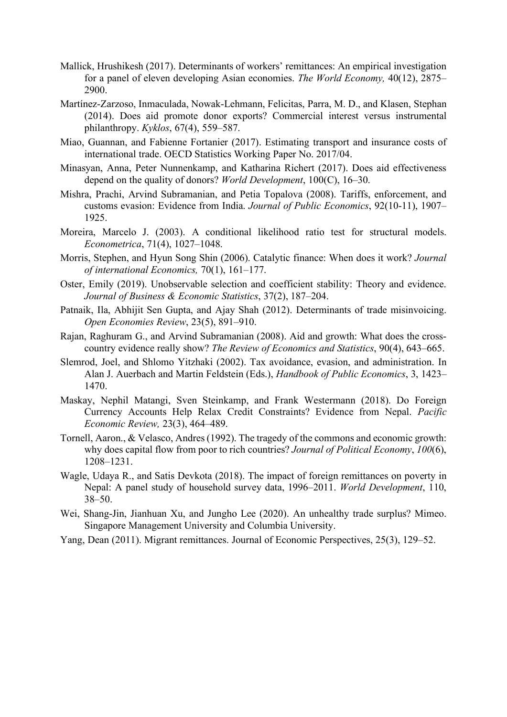- Mallick, Hrushikesh (2017). Determinants of workers' remittances: An empirical investigation for a panel of eleven developing Asian economies. *The World Economy,* 40(12), 2875– 2900.
- Martínez‐Zarzoso, Inmaculada, Nowak‐Lehmann, Felicitas, Parra, M. D., and Klasen, Stephan (2014). Does aid promote donor exports? Commercial interest versus instrumental philanthropy. *Kyklos*, 67(4), 559–587.
- Miao, Guannan, and Fabienne Fortanier (2017). Estimating transport and insurance costs of international trade. OECD Statistics Working Paper No. 2017/04.
- Minasyan, Anna, Peter Nunnenkamp, and Katharina Richert (2017). Does aid effectiveness depend on the quality of donors? *World Development*, 100(C), 16–30.
- Mishra, Prachi, Arvind Subramanian, and Petia Topalova (2008). Tariffs, enforcement, and customs evasion: Evidence from India. *Journal of Public Economics*, 92(10-11), 1907– 1925.
- Moreira, Marcelo J. (2003). A conditional likelihood ratio test for structural models. *Econometrica*, 71(4), 1027–1048.
- Morris, Stephen, and Hyun Song Shin (2006). Catalytic finance: When does it work? *Journal of international Economics,* 70(1), 161–177.
- Oster, Emily (2019). Unobservable selection and coefficient stability: Theory and evidence. *Journal of Business & Economic Statistics*, 37(2), 187–204.
- Patnaik, Ila, Abhijit Sen Gupta, and Ajay Shah (2012). Determinants of trade misinvoicing. *Open Economies Review*, 23(5), 891–910.
- Rajan, Raghuram G., and Arvind Subramanian (2008). Aid and growth: What does the crosscountry evidence really show? *The Review of Economics and Statistics*, 90(4), 643–665.
- Slemrod, Joel, and Shlomo Yitzhaki (2002). Tax avoidance, evasion, and administration. In Alan J. Auerbach and Martin Feldstein (Eds.), *Handbook of Public Economics*, 3, 1423– 1470.
- Maskay, Nephil Matangi, Sven Steinkamp, and Frank Westermann (2018). Do Foreign Currency Accounts Help Relax Credit Constraints? Evidence from Nepal. *Pacific Economic Review,* 23(3), 464–489.
- Tornell, Aaron., & Velasco, Andres (1992). The tragedy of the commons and economic growth: why does capital flow from poor to rich countries? *Journal of Political Economy*, *100*(6), 1208–1231.
- Wagle, Udaya R., and Satis Devkota (2018). The impact of foreign remittances on poverty in Nepal: A panel study of household survey data, 1996–2011. *World Development*, 110, 38–50.
- Wei, Shang-Jin, Jianhuan Xu, and Jungho Lee (2020). An unhealthy trade surplus? Mimeo. Singapore Management University and Columbia University.
- Yang, Dean (2011). Migrant remittances. Journal of Economic Perspectives, 25(3), 129–52.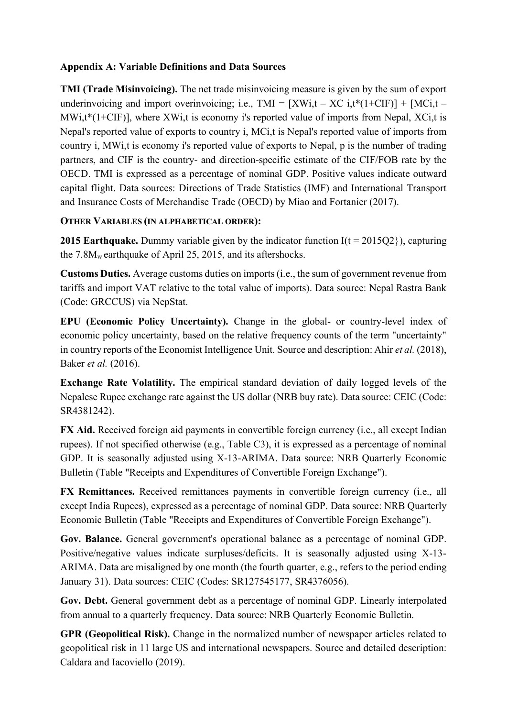## **Appendix A: Variable Definitions and Data Sources**

**TMI (Trade Misinvoicing).** The net trade misinvoicing measure is given by the sum of export underinvoicing and import overinvoicing; i.e.,  $TMI = [XWi,t - XC i,t*(1+CIF)] + [MCi,t MWi,t*(1+CIF)$ ], where XWi,t is economy i's reported value of imports from Nepal, XCi,t is Nepal's reported value of exports to country i, MCi,t is Nepal's reported value of imports from country i, MWi,t is economy i's reported value of exports to Nepal, p is the number of trading partners, and CIF is the country- and direction-specific estimate of the CIF/FOB rate by the OECD. TMI is expressed as a percentage of nominal GDP. Positive values indicate outward capital flight. Data sources: Directions of Trade Statistics (IMF) and International Transport and Insurance Costs of Merchandise Trade (OECD) by Miao and Fortanier (2017).

## **OTHER VARIABLES (IN ALPHABETICAL ORDER):**

**2015 Earthquake.** Dummy variable given by the indicator function  $I(t = 2015Q2)$ , capturing the 7.8Mw earthquake of April 25, 2015, and its aftershocks.

**Customs Duties.** Average customs duties on imports (i.e., the sum of government revenue from tariffs and import VAT relative to the total value of imports). Data source: Nepal Rastra Bank (Code: GRCCUS) via NepStat.

**EPU (Economic Policy Uncertainty).** Change in the global- or country-level index of economic policy uncertainty, based on the relative frequency counts of the term "uncertainty" in country reports of the Economist Intelligence Unit. Source and description: Ahir *et al.* (2018), Baker *et al.* (2016).

**Exchange Rate Volatility.** The empirical standard deviation of daily logged levels of the Nepalese Rupee exchange rate against the US dollar (NRB buy rate). Data source: CEIC (Code: SR4381242).

**FX Aid.** Received foreign aid payments in convertible foreign currency (i.e., all except Indian rupees). If not specified otherwise (e.g., Table C3), it is expressed as a percentage of nominal GDP. It is seasonally adjusted using X-13-ARIMA. Data source: NRB Quarterly Economic Bulletin (Table "Receipts and Expenditures of Convertible Foreign Exchange").

**FX Remittances.** Received remittances payments in convertible foreign currency (i.e., all except India Rupees), expressed as a percentage of nominal GDP. Data source: NRB Quarterly Economic Bulletin (Table "Receipts and Expenditures of Convertible Foreign Exchange").

**Gov. Balance.** General government's operational balance as a percentage of nominal GDP. Positive/negative values indicate surpluses/deficits. It is seasonally adjusted using X-13- ARIMA. Data are misaligned by one month (the fourth quarter, e.g., refers to the period ending January 31). Data sources: CEIC (Codes: SR127545177, SR4376056).

**Gov. Debt.** General government debt as a percentage of nominal GDP. Linearly interpolated from annual to a quarterly frequency. Data source: NRB Quarterly Economic Bulletin.

**GPR (Geopolitical Risk).** Change in the normalized number of newspaper articles related to geopolitical risk in 11 large US and international newspapers. Source and detailed description: Caldara and Iacoviello (2019).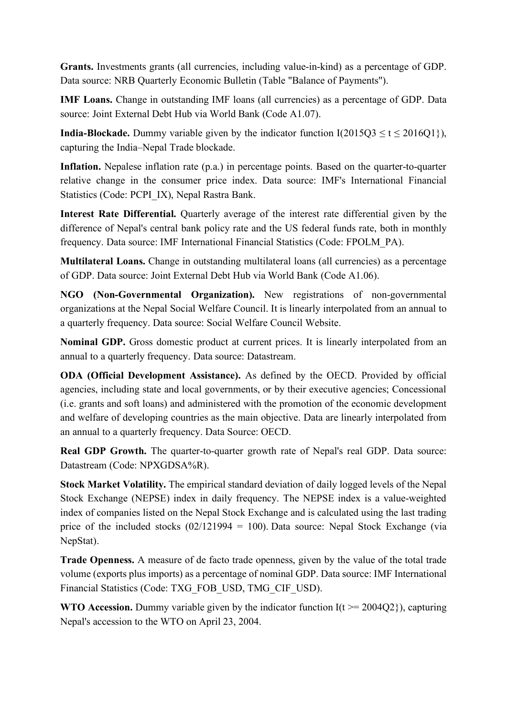**Grants.** Investments grants (all currencies, including value-in-kind) as a percentage of GDP. Data source: NRB Quarterly Economic Bulletin (Table "Balance of Payments").

**IMF Loans.** Change in outstanding IMF loans (all currencies) as a percentage of GDP. Data source: Joint External Debt Hub via World Bank (Code A1.07).

**India-Blockade.** Dummy variable given by the indicator function  $I(2015Q3 \le t \le 2016Q1)$ , capturing the India–Nepal Trade blockade.

**Inflation.** Nepalese inflation rate (p.a.) in percentage points. Based on the quarter-to-quarter relative change in the consumer price index. Data source: IMF's International Financial Statistics (Code: PCPI\_IX), Nepal Rastra Bank.

**Interest Rate Differential.** Quarterly average of the interest rate differential given by the difference of Nepal's central bank policy rate and the US federal funds rate, both in monthly frequency. Data source: IMF International Financial Statistics (Code: FPOLM\_PA).

**Multilateral Loans.** Change in outstanding multilateral loans (all currencies) as a percentage of GDP. Data source: Joint External Debt Hub via World Bank (Code A1.06).

**NGO (Non-Governmental Organization).** New registrations of non-governmental organizations at the Nepal Social Welfare Council. It is linearly interpolated from an annual to a quarterly frequency. Data source: Social Welfare Council Website.

**Nominal GDP.** Gross domestic product at current prices. It is linearly interpolated from an annual to a quarterly frequency. Data source: Datastream.

**ODA (Official Development Assistance).** As defined by the OECD. Provided by official agencies, including state and local governments, or by their executive agencies; Concessional (i.e. grants and soft loans) and administered with the promotion of the economic development and welfare of developing countries as the main objective. Data are linearly interpolated from an annual to a quarterly frequency. Data Source: OECD.

**Real GDP Growth.** The quarter-to-quarter growth rate of Nepal's real GDP. Data source: Datastream (Code: NPXGDSA%R).

**Stock Market Volatility.** The empirical standard deviation of daily logged levels of the Nepal Stock Exchange (NEPSE) index in daily frequency. The NEPSE index is a value-weighted index of companies listed on the Nepal Stock Exchange and is calculated using the last trading price of the included stocks  $(02/121994 = 100)$ . Data source: Nepal Stock Exchange (via NepStat).

**Trade Openness.** A measure of de facto trade openness, given by the value of the total trade volume (exports plus imports) as a percentage of nominal GDP. Data source: IMF International Financial Statistics (Code: TXG\_FOB\_USD, TMG\_CIF\_USD).

**WTO Accession.** Dummy variable given by the indicator function  $I(t \ge 2004Q2)$ , capturing Nepal's accession to the WTO on April 23, 2004.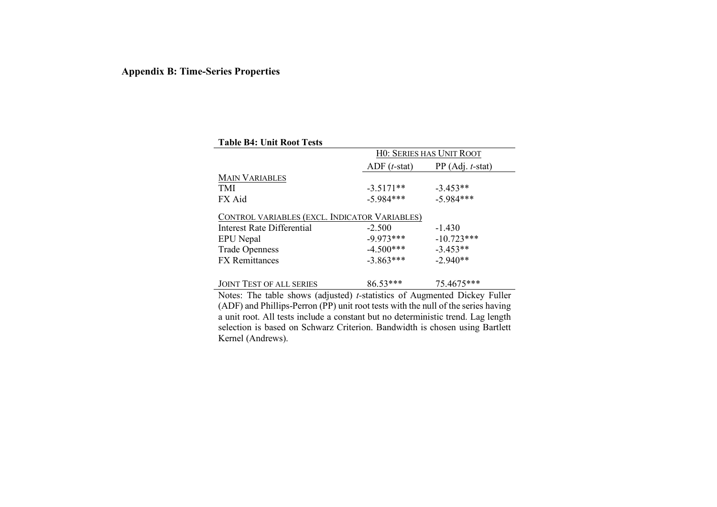### **Appendix B: Time-Series Properties**

| <b>Table B4: Unit Root Tests</b>              |                                 |                    |  |  |  |  |  |
|-----------------------------------------------|---------------------------------|--------------------|--|--|--|--|--|
|                                               | <b>HO: SERIES HAS UNIT ROOT</b> |                    |  |  |  |  |  |
|                                               | $ADF(t-stat)$                   | $PP (Adj. t-stat)$ |  |  |  |  |  |
| <b>MAIN VARIABLES</b>                         |                                 |                    |  |  |  |  |  |
| <b>TMI</b>                                    | $-3.5171**$                     | $-3.453**$         |  |  |  |  |  |
| FX Aid                                        | $-5.984***$                     | $-5.984***$        |  |  |  |  |  |
| CONTROL VARIABLES (EXCL. INDICATOR VARIABLES) |                                 |                    |  |  |  |  |  |
| Interest Rate Differential                    | $-2.500$                        | $-1.430$           |  |  |  |  |  |
| EPU Nepal                                     | $-9.973***$                     | $-10.723***$       |  |  |  |  |  |
| <b>Trade Openness</b>                         | $-4.500***$                     | $-3.453**$         |  |  |  |  |  |
| <b>FX</b> Remittances                         | $-3.863***$                     | $-2.940**$         |  |  |  |  |  |
|                                               |                                 |                    |  |  |  |  |  |
| <b>JOINT TEST OF ALL SERIES</b>               | 86.53***                        | 75.4675***         |  |  |  |  |  |

Notes: The table shows (adjusted) *t-*statistics of Augmented Dickey Fuller (ADF) and Phillips-Perron (PP) unit root tests with the null of the series having a unit root. All tests include a constant but no deterministic trend. Lag length selection is based on Schwarz Criterion. Bandwidth is chosen using Bartlett Kernel (Andrews).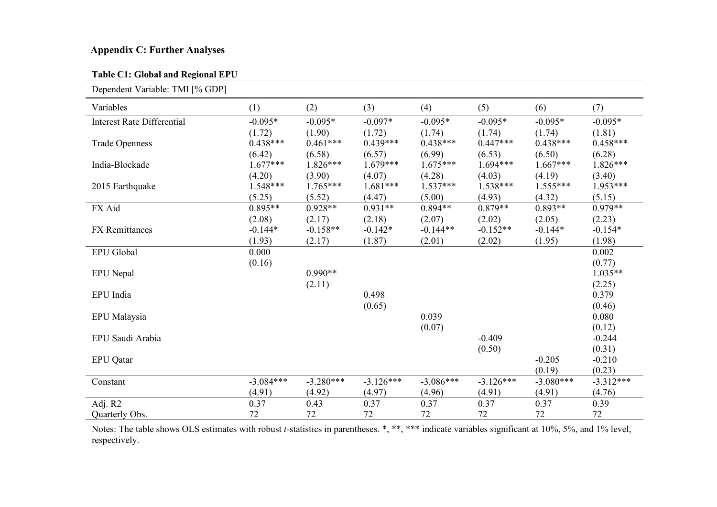## **Appendix C: Further Analyses**

### **Table C1: Global and Regional EPU**

| Dependent Variable: TMI [% GDP]   |             |             |             |             |             |             |             |
|-----------------------------------|-------------|-------------|-------------|-------------|-------------|-------------|-------------|
| Variables                         | (1)         | (2)         | (3)         | (4)         | (5)         | (6)         | (7)         |
| <b>Interest Rate Differential</b> | $-0.095*$   | $-0.095*$   | $-0.097*$   | $-0.095*$   | $-0.095*$   | $-0.095*$   | $-0.095*$   |
|                                   | (1.72)      | (1.90)      | (1.72)      | (1.74)      | (1.74)      | (1.74)      | (1.81)      |
| <b>Trade Openness</b>             | $0.438***$  | $0.461***$  | $0.439***$  | $0.438***$  | $0.447***$  | $0.438***$  | $0.458***$  |
|                                   | (6.42)      | (6.58)      | (6.57)      | (6.99)      | (6.53)      | (6.50)      | (6.28)      |
| India-Blockade                    | $1.677***$  | $1.826***$  | $1.679***$  | $1.675***$  | $1.694***$  | $1.667***$  | $1.826***$  |
|                                   | (4.20)      | (3.90)      | (4.07)      | (4.28)      | (4.03)      | (4.19)      | (3.40)      |
| 2015 Earthquake                   | $1.548***$  | $1.765***$  | $1.681***$  | $1.537***$  | $1.538***$  | $1.555***$  | $1.953***$  |
|                                   | (5.25)      | (5.52)      | (4.47)      | (5.00)      | (4.93)      | (4.32)      | (5.15)      |
| FX Aid                            | $0.895**$   | $0.928**$   | $0.931**$   | $0.894**$   | $0.879**$   | $0.893**$   | $0.979**$   |
|                                   | (2.08)      | (2.17)      | (2.18)      | (2.07)      | (2.02)      | (2.05)      | (2.23)      |
| <b>FX</b> Remittances             | $-0.144*$   | $-0.158**$  | $-0.142*$   | $-0.144**$  | $-0.152**$  | $-0.144*$   | $-0.154*$   |
|                                   | (1.93)      | (2.17)      | (1.87)      | (2.01)      | (2.02)      | (1.95)      | (1.98)      |
| <b>EPU</b> Global                 | 0.000       |             |             |             |             |             | 0.002       |
|                                   | (0.16)      |             |             |             |             |             | (0.77)      |
| <b>EPU</b> Nepal                  |             | $0.990**$   |             |             |             |             | $1.035**$   |
|                                   |             | (2.11)      |             |             |             |             | (2.25)      |
| EPU India                         |             |             | 0.498       |             |             |             | 0.379       |
|                                   |             |             | (0.65)      |             |             |             | (0.46)      |
| EPU Malaysia                      |             |             |             | 0.039       |             |             | 0.080       |
|                                   |             |             |             | (0.07)      |             |             | (0.12)      |
| EPU Saudi Arabia                  |             |             |             |             | $-0.409$    |             | $-0.244$    |
|                                   |             |             |             |             | (0.50)      |             | (0.31)      |
| <b>EPU</b> Qatar                  |             |             |             |             |             | $-0.205$    | $-0.210$    |
|                                   |             |             |             |             |             | (0.19)      | (0.23)      |
| Constant                          | $-3.084***$ | $-3.280***$ | $-3.126***$ | $-3.086***$ | $-3.126***$ | $-3.080***$ | $-3.312***$ |
|                                   | (4.91)      | (4.92)      | (4.97)      | (4.96)      | (4.91)      | (4.91)      | (4.76)      |
| Adj. R2                           | 0.37        | 0.43        | 0.37        | 0.37        | 0.37        | 0.37        | 0.39        |
| Quarterly Obs.                    | 72          | 72          | 72          | 72          | 72          | 72          | 72          |

Notes: The table shows OLS estimates with robust *t-*statistics in parentheses. \*, \*\*, \*\*\* indicate variables significant at 10%, 5%, and 1% level, respectively.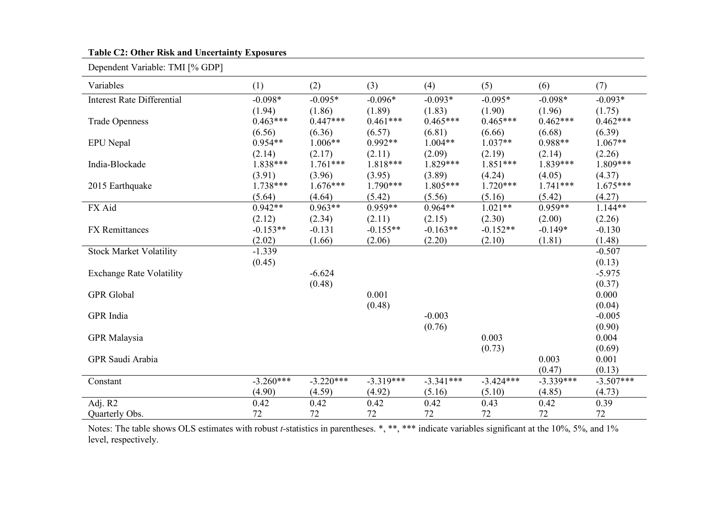#### **Table C2: Other Risk and Uncertainty Exposures**

Dependent Variable: TMI [% GDP]

| Variables                         | (1)         | (2)         | (3)         | (4)         | (5)         | (6)         | (7)         |
|-----------------------------------|-------------|-------------|-------------|-------------|-------------|-------------|-------------|
| <b>Interest Rate Differential</b> | $-0.098*$   | $-0.095*$   | $-0.096*$   | $-0.093*$   | $-0.095*$   | $-0.098*$   | $-0.093*$   |
|                                   | (1.94)      | (1.86)      | (1.89)      | (1.83)      | (1.90)      | (1.96)      | (1.75)      |
| <b>Trade Openness</b>             | $0.463***$  | $0.447***$  | $0.461***$  | $0.465***$  | $0.465***$  | $0.462***$  | $0.462***$  |
|                                   | (6.56)      | (6.36)      | (6.57)      | (6.81)      | (6.66)      | (6.68)      | (6.39)      |
| <b>EPU</b> Nepal                  | $0.954**$   | $1.006**$   | $0.992**$   | $1.004**$   | $1.037**$   | $0.988**$   | $1.067**$   |
|                                   | (2.14)      | (2.17)      | (2.11)      | (2.09)      | (2.19)      | (2.14)      | (2.26)      |
| India-Blockade                    | 1.838***    | $1.761***$  | 1.818***    | $1.829***$  | $1.851***$  | $1.839***$  | $1.809***$  |
|                                   | (3.91)      | (3.96)      | (3.95)      | (3.89)      | (4.24)      | (4.05)      | (4.37)      |
| 2015 Earthquake                   | $1.738***$  | $1.676***$  | $1.790***$  | $1.805***$  | $1.720***$  | $1.741***$  | $1.675***$  |
|                                   | (5.64)      | (4.64)      | (5.42)      | (5.56)      | (5.16)      | (5.42)      | (4.27)      |
| FX Aid                            | $0.942**$   | $0.963**$   | $0.959**$   | $0.964**$   | $1.021**$   | $0.959**$   | $1.144**$   |
|                                   | (2.12)      | (2.34)      | (2.11)      | (2.15)      | (2.30)      | (2.00)      | (2.26)      |
| <b>FX</b> Remittances             | $-0.153**$  | $-0.131$    | $-0.155**$  | $-0.163**$  | $-0.152**$  | $-0.149*$   | $-0.130$    |
|                                   | (2.02)      | (1.66)      | (2.06)      | (2.20)      | (2.10)      | (1.81)      | (1.48)      |
| <b>Stock Market Volatility</b>    | $-1.339$    |             |             |             |             |             | $-0.507$    |
|                                   | (0.45)      |             |             |             |             |             | (0.13)      |
| <b>Exchange Rate Volatility</b>   |             | $-6.624$    |             |             |             |             | $-5.975$    |
|                                   |             | (0.48)      |             |             |             |             | (0.37)      |
| <b>GPR</b> Global                 |             |             | 0.001       |             |             |             | 0.000       |
|                                   |             |             | (0.48)      |             |             |             | (0.04)      |
| GPR India                         |             |             |             | $-0.003$    |             |             | $-0.005$    |
|                                   |             |             |             | (0.76)      |             |             | (0.90)      |
| <b>GPR</b> Malaysia               |             |             |             |             | 0.003       |             | 0.004       |
|                                   |             |             |             |             | (0.73)      |             | (0.69)      |
| GPR Saudi Arabia                  |             |             |             |             |             | 0.003       | 0.001       |
|                                   |             |             |             |             |             | (0.47)      | (0.13)      |
| Constant                          | $-3.260***$ | $-3.220***$ | $-3.319***$ | $-3.341***$ | $-3.424***$ | $-3.339***$ | $-3.507***$ |
|                                   | (4.90)      | (4.59)      | (4.92)      | (5.16)      | (5.10)      | (4.85)      | (4.73)      |
| Adj. R2                           | 0.42        | 0.42        | 0.42        | 0.42        | 0.43        | 0.42        | 0.39        |
| Quarterly Obs.                    | 72          | 72          | 72          | 72          | 72          | 72          | 72          |

Notes: The table shows OLS estimates with robust *t-*statistics in parentheses. \*, \*\*, \*\*\* indicate variables significant at the 10%, 5%, and 1% level, respectively.